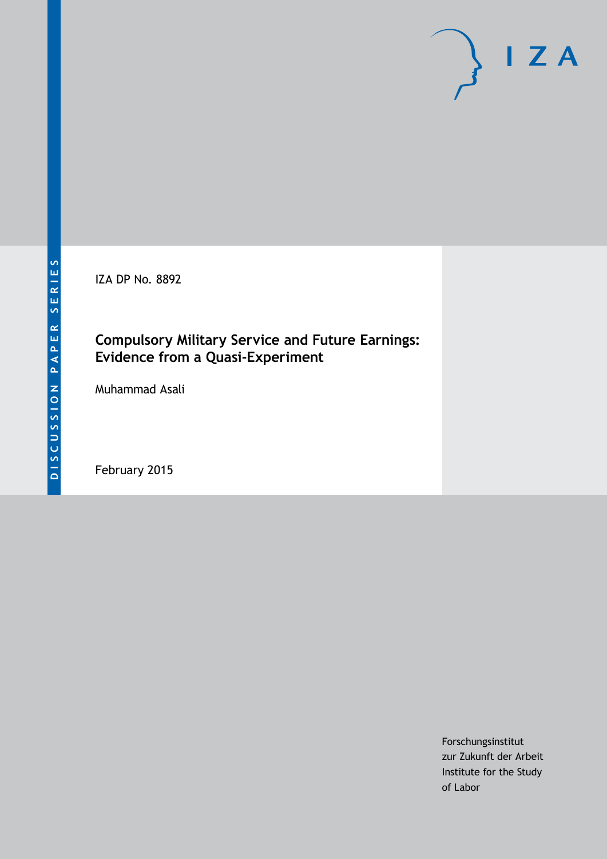IZA DP No. 8892

# **Compulsory Military Service and Future Earnings: Evidence from a Quasi-Experiment**

Muhammad Asali

February 2015

Forschungsinstitut zur Zukunft der Arbeit Institute for the Study of Labor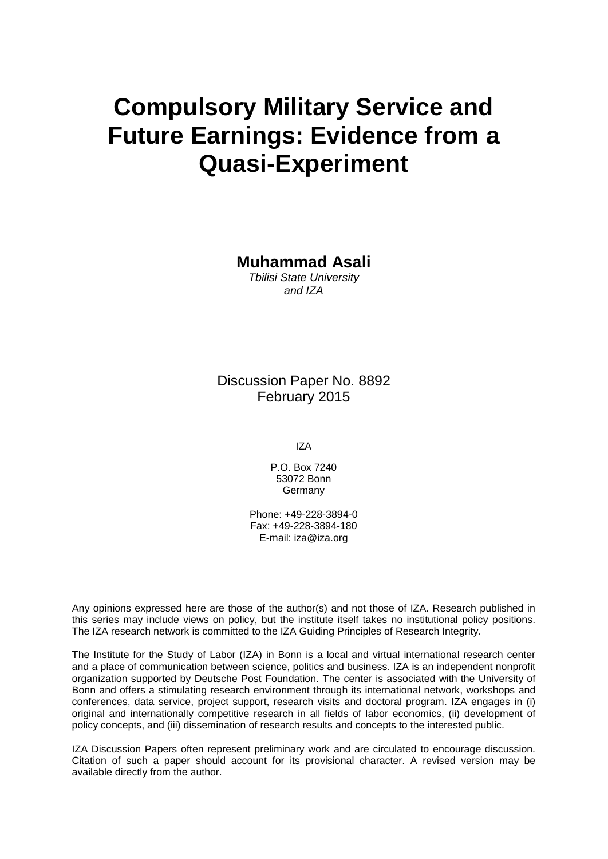# **Compulsory Military Service and Future Earnings: Evidence from a Quasi-Experiment**

**Muhammad Asali**

*Tbilisi State University and IZA*

Discussion Paper No. 8892 February 2015

IZA

P.O. Box 7240 53072 Bonn **Germany** 

Phone: +49-228-3894-0 Fax: +49-228-3894-180 E-mail: [iza@iza.org](mailto:iza@iza.org)

Any opinions expressed here are those of the author(s) and not those of IZA. Research published in this series may include views on policy, but the institute itself takes no institutional policy positions. The IZA research network is committed to the IZA Guiding Principles of Research Integrity.

The Institute for the Study of Labor (IZA) in Bonn is a local and virtual international research center and a place of communication between science, politics and business. IZA is an independent nonprofit organization supported by Deutsche Post Foundation. The center is associated with the University of Bonn and offers a stimulating research environment through its international network, workshops and conferences, data service, project support, research visits and doctoral program. IZA engages in (i) original and internationally competitive research in all fields of labor economics, (ii) development of policy concepts, and (iii) dissemination of research results and concepts to the interested public.

<span id="page-1-0"></span>IZA Discussion Papers often represent preliminary work and are circulated to encourage discussion. Citation of such a paper should account for its provisional character. A revised version may be available directly from the author.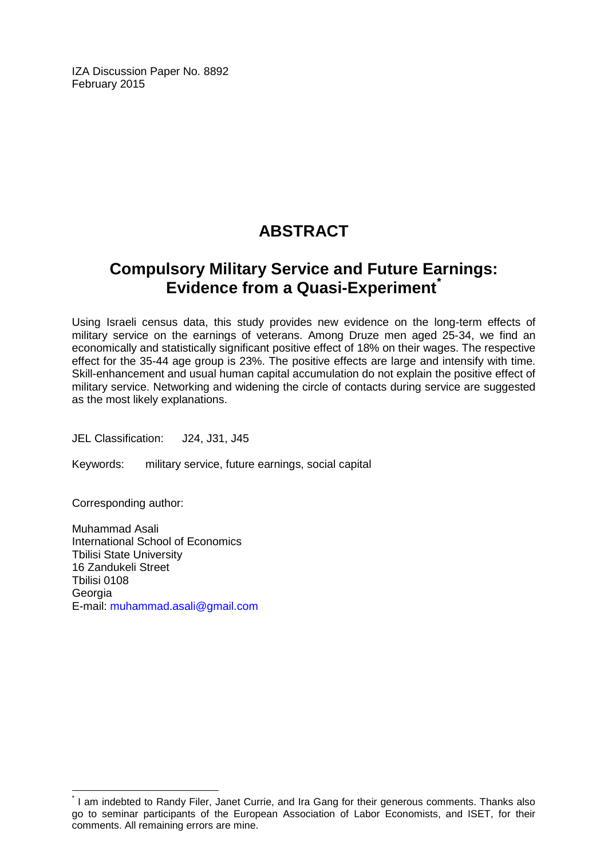IZA Discussion Paper No. 8892 February 2015

# **ABSTRACT**

# **Compulsory Military Service and Future Earnings: Evidence from a Quasi-Experiment[\\*](#page-1-0)**

Using Israeli census data, this study provides new evidence on the long-term effects of military service on the earnings of veterans. Among Druze men aged 25-34, we find an economically and statistically significant positive effect of 18% on their wages. The respective effect for the 35-44 age group is 23%. The positive effects are large and intensify with time. Skill-enhancement and usual human capital accumulation do not explain the positive effect of military service. Networking and widening the circle of contacts during service are suggested as the most likely explanations.

JEL Classification: J24, J31, J45

Keywords: military service, future earnings, social capital

Corresponding author:

Muhammad Asali International School of Economics Tbilisi State University 16 Zandukeli Street Tbilisi 0108 Georgia E-mail: [muhammad.asali@gmail.com](mailto:muhammad.asali@gmail.com)

\* I am indebted to Randy Filer, Janet Currie, and Ira Gang for their generous comments. Thanks also go to seminar participants of the European Association of Labor Economists, and ISET, for their comments. All remaining errors are mine.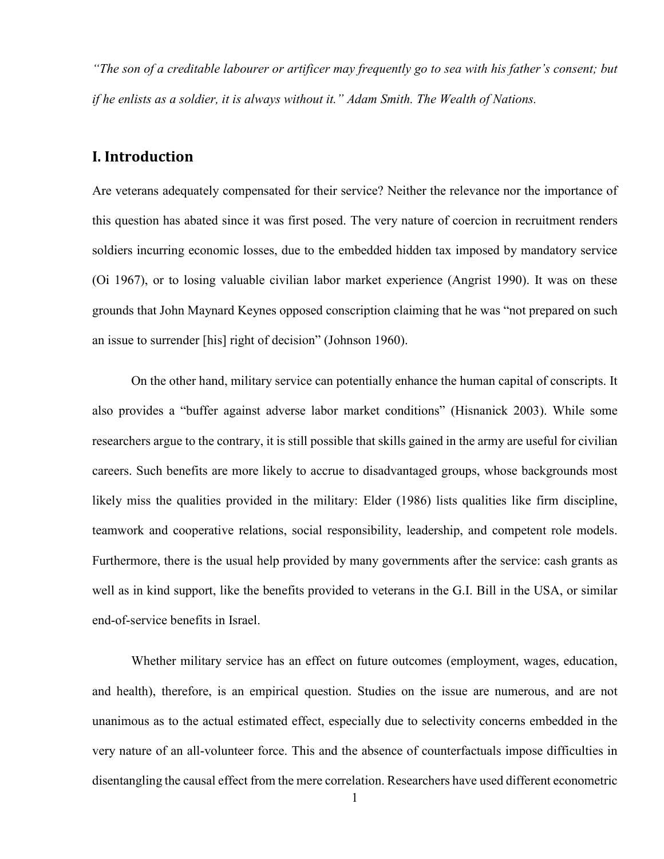*"The son of a creditable labourer or artificer may frequently go to sea with his father's consent; but if he enlists as a soldier, it is always without it." Adam Smith. The Wealth of Nations.* 

# **I. Introduction**

Are veterans adequately compensated for their service? Neither the relevance nor the importance of this question has abated since it was first posed. The very nature of coercion in recruitment renders soldiers incurring economic losses, due to the embedded hidden tax imposed by mandatory service (Oi 1967), or to losing valuable civilian labor market experience (Angrist 1990). It was on these grounds that John Maynard Keynes opposed conscription claiming that he was "not prepared on such an issue to surrender [his] right of decision" (Johnson 1960).

On the other hand, military service can potentially enhance the human capital of conscripts. It also provides a "buffer against adverse labor market conditions" (Hisnanick 2003). While some researchers argue to the contrary, it is still possible that skills gained in the army are useful for civilian careers. Such benefits are more likely to accrue to disadvantaged groups, whose backgrounds most likely miss the qualities provided in the military: Elder (1986) lists qualities like firm discipline, teamwork and cooperative relations, social responsibility, leadership, and competent role models. Furthermore, there is the usual help provided by many governments after the service: cash grants as well as in kind support, like the benefits provided to veterans in the G.I. Bill in the USA, or similar end-of-service benefits in Israel.

Whether military service has an effect on future outcomes (employment, wages, education, and health), therefore, is an empirical question. Studies on the issue are numerous, and are not unanimous as to the actual estimated effect, especially due to selectivity concerns embedded in the very nature of an all-volunteer force. This and the absence of counterfactuals impose difficulties in disentangling the causal effect from the mere correlation. Researchers have used different econometric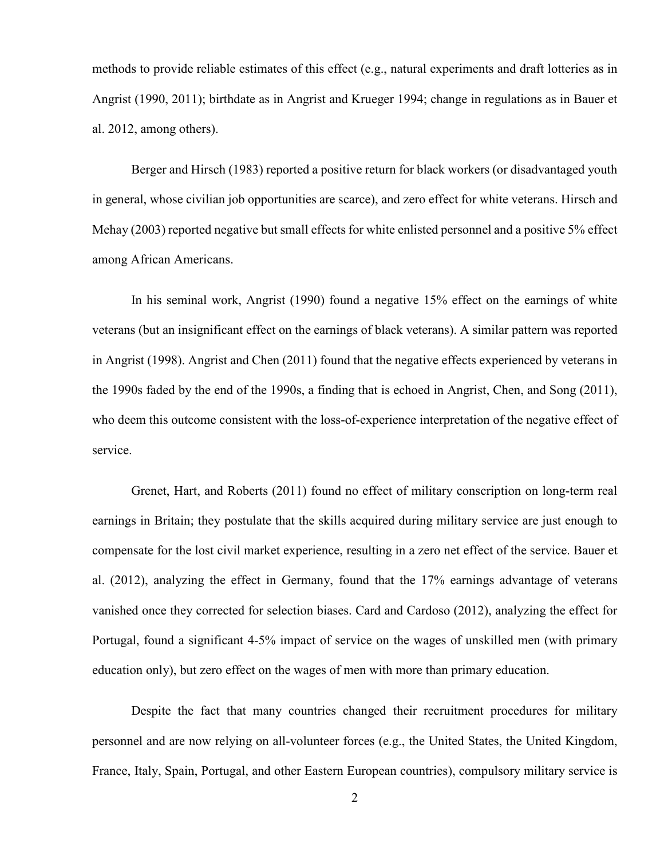methods to provide reliable estimates of this effect (e.g., natural experiments and draft lotteries as in Angrist (1990, 2011); birthdate as in Angrist and Krueger 1994; change in regulations as in Bauer et al. 2012, among others).

Berger and Hirsch (1983) reported a positive return for black workers (or disadvantaged youth in general, whose civilian job opportunities are scarce), and zero effect for white veterans. Hirsch and Mehay (2003) reported negative but small effects for white enlisted personnel and a positive 5% effect among African Americans.

In his seminal work, Angrist (1990) found a negative 15% effect on the earnings of white veterans (but an insignificant effect on the earnings of black veterans). A similar pattern was reported in Angrist (1998). Angrist and Chen (2011) found that the negative effects experienced by veterans in the 1990s faded by the end of the 1990s, a finding that is echoed in Angrist, Chen, and Song (2011), who deem this outcome consistent with the loss-of-experience interpretation of the negative effect of service.

Grenet, Hart, and Roberts (2011) found no effect of military conscription on long-term real earnings in Britain; they postulate that the skills acquired during military service are just enough to compensate for the lost civil market experience, resulting in a zero net effect of the service. Bauer et al. (2012), analyzing the effect in Germany, found that the 17% earnings advantage of veterans vanished once they corrected for selection biases. Card and Cardoso (2012), analyzing the effect for Portugal, found a significant 4-5% impact of service on the wages of unskilled men (with primary education only), but zero effect on the wages of men with more than primary education.

Despite the fact that many countries changed their recruitment procedures for military personnel and are now relying on all-volunteer forces (e.g., the United States, the United Kingdom, France, Italy, Spain, Portugal, and other Eastern European countries), compulsory military service is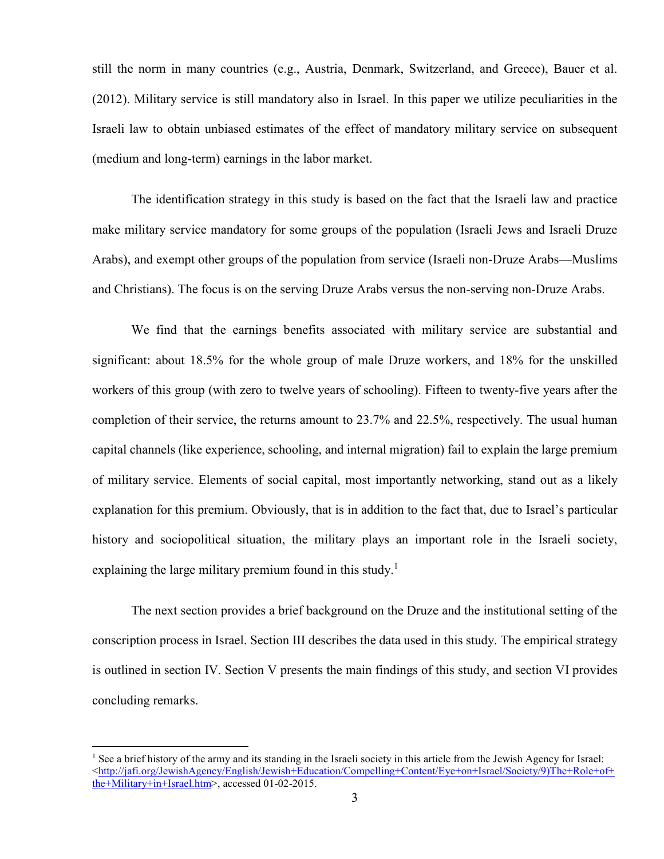still the norm in many countries (e.g., Austria, Denmark, Switzerland, and Greece), Bauer et al. (2012). Military service is still mandatory also in Israel. In this paper we utilize peculiarities in the Israeli law to obtain unbiased estimates of the effect of mandatory military service on subsequent (medium and long-term) earnings in the labor market.

The identification strategy in this study is based on the fact that the Israeli law and practice make military service mandatory for some groups of the population (Israeli Jews and Israeli Druze Arabs), and exempt other groups of the population from service (Israeli non-Druze Arabs—Muslims and Christians). The focus is on the serving Druze Arabs versus the non-serving non-Druze Arabs.

We find that the earnings benefits associated with military service are substantial and significant: about 18.5% for the whole group of male Druze workers, and 18% for the unskilled workers of this group (with zero to twelve years of schooling). Fifteen to twenty-five years after the completion of their service, the returns amount to 23.7% and 22.5%, respectively. The usual human capital channels (like experience, schooling, and internal migration) fail to explain the large premium of military service. Elements of social capital, most importantly networking, stand out as a likely explanation for this premium. Obviously, that is in addition to the fact that, due to Israel's particular history and sociopolitical situation, the military plays an important role in the Israeli society, explaining the large military premium found in this study.<sup>1</sup>

The next section provides a brief background on the Druze and the institutional setting of the conscription process in Israel. Section III describes the data used in this study. The empirical strategy is outlined in section IV. Section V presents the main findings of this study, and section VI provides concluding remarks.

<sup>&</sup>lt;sup>1</sup> See a brief history of the army and its standing in the Israeli society in this article from the Jewish Agency for Israel:  $\text{Khttp://jafi.org/JewishAgency/English/Jewish+Education/Compelling+Content/Event=Israel/Society/9) The+Role+of+}$ the+Military+in+Israel.htm>, accessed 01-02-2015.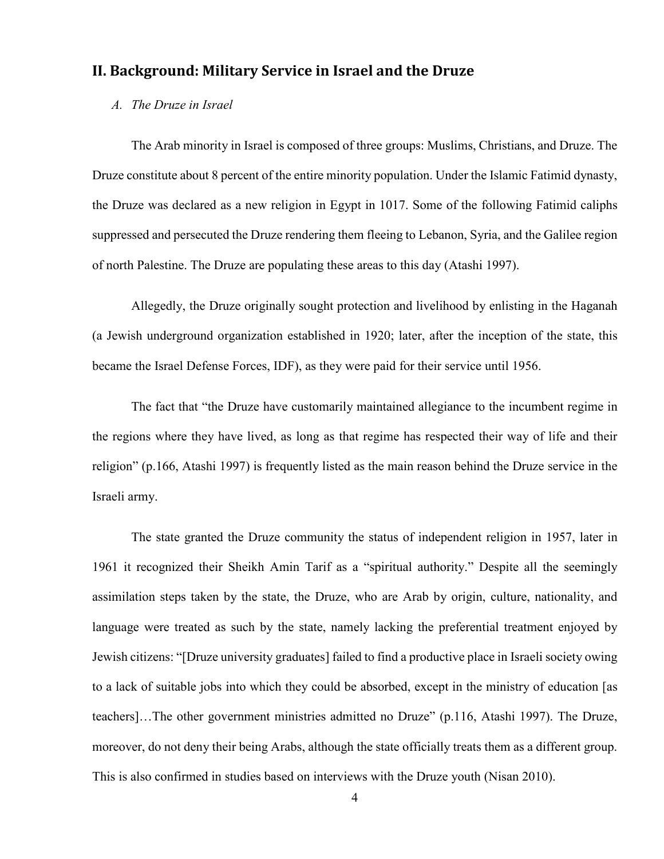## **II. Background: Military Service in Israel and the Druze**

#### *A. The Druze in Israel*

The Arab minority in Israel is composed of three groups: Muslims, Christians, and Druze. The Druze constitute about 8 percent of the entire minority population. Under the Islamic Fatimid dynasty, the Druze was declared as a new religion in Egypt in 1017. Some of the following Fatimid caliphs suppressed and persecuted the Druze rendering them fleeing to Lebanon, Syria, and the Galilee region of north Palestine. The Druze are populating these areas to this day (Atashi 1997).

Allegedly, the Druze originally sought protection and livelihood by enlisting in the Haganah (a Jewish underground organization established in 1920; later, after the inception of the state, this became the Israel Defense Forces, IDF), as they were paid for their service until 1956.

The fact that "the Druze have customarily maintained allegiance to the incumbent regime in the regions where they have lived, as long as that regime has respected their way of life and their religion" (p.166, Atashi 1997) is frequently listed as the main reason behind the Druze service in the Israeli army.

The state granted the Druze community the status of independent religion in 1957, later in 1961 it recognized their Sheikh Amin Tarif as a "spiritual authority." Despite all the seemingly assimilation steps taken by the state, the Druze, who are Arab by origin, culture, nationality, and language were treated as such by the state, namely lacking the preferential treatment enjoyed by Jewish citizens: "[Druze university graduates] failed to find a productive place in Israeli society owing to a lack of suitable jobs into which they could be absorbed, except in the ministry of education [as teachers]…The other government ministries admitted no Druze" (p.116, Atashi 1997). The Druze, moreover, do not deny their being Arabs, although the state officially treats them as a different group. This is also confirmed in studies based on interviews with the Druze youth (Nisan 2010).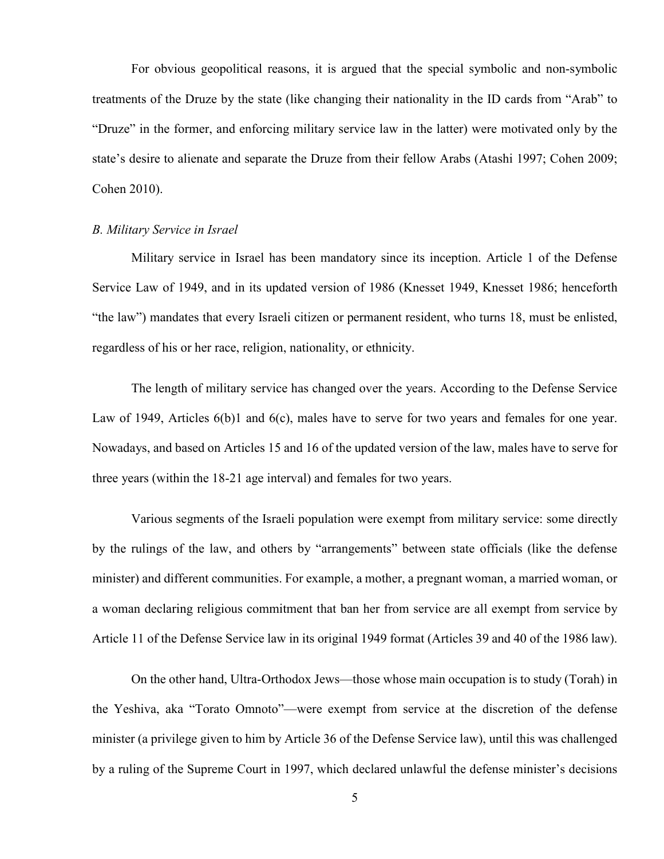For obvious geopolitical reasons, it is argued that the special symbolic and non-symbolic treatments of the Druze by the state (like changing their nationality in the ID cards from "Arab" to "Druze" in the former, and enforcing military service law in the latter) were motivated only by the state's desire to alienate and separate the Druze from their fellow Arabs (Atashi 1997; Cohen 2009; Cohen 2010).

#### *B. Military Service in Israel*

Military service in Israel has been mandatory since its inception. Article 1 of the Defense Service Law of 1949, and in its updated version of 1986 (Knesset 1949, Knesset 1986; henceforth "the law") mandates that every Israeli citizen or permanent resident, who turns 18, must be enlisted, regardless of his or her race, religion, nationality, or ethnicity.

The length of military service has changed over the years. According to the Defense Service Law of 1949, Articles 6(b)1 and 6(c), males have to serve for two years and females for one year. Nowadays, and based on Articles 15 and 16 of the updated version of the law, males have to serve for three years (within the 18-21 age interval) and females for two years.

Various segments of the Israeli population were exempt from military service: some directly by the rulings of the law, and others by "arrangements" between state officials (like the defense minister) and different communities. For example, a mother, a pregnant woman, a married woman, or a woman declaring religious commitment that ban her from service are all exempt from service by Article 11 of the Defense Service law in its original 1949 format (Articles 39 and 40 of the 1986 law).

On the other hand, Ultra-Orthodox Jews—those whose main occupation is to study (Torah) in the Yeshiva, aka "Torato Omnoto"—were exempt from service at the discretion of the defense minister (a privilege given to him by Article 36 of the Defense Service law), until this was challenged by a ruling of the Supreme Court in 1997, which declared unlawful the defense minister's decisions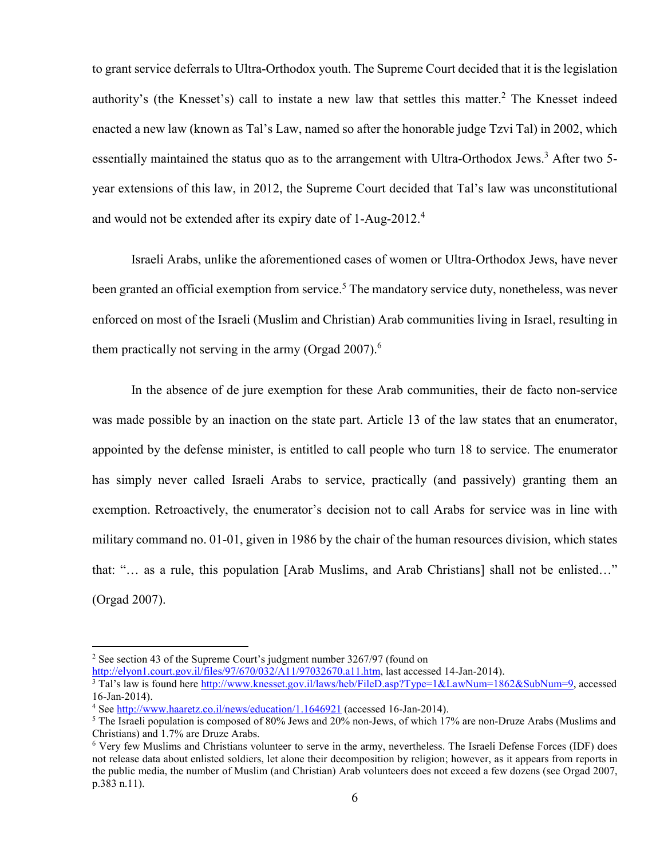to grant service deferrals to Ultra-Orthodox youth. The Supreme Court decided that it is the legislation authority's (the Knesset's) call to instate a new law that settles this matter.<sup>2</sup> The Knesset indeed enacted a new law (known as Tal's Law, named so after the honorable judge Tzvi Tal) in 2002, which essentially maintained the status quo as to the arrangement with Ultra-Orthodox Jews.<sup>3</sup> After two 5year extensions of this law, in 2012, the Supreme Court decided that Tal's law was unconstitutional and would not be extended after its expiry date of 1-Aug-2012.<sup>4</sup>

Israeli Arabs, unlike the aforementioned cases of women or Ultra-Orthodox Jews, have never been granted an official exemption from service.<sup>5</sup> The mandatory service duty, nonetheless, was never enforced on most of the Israeli (Muslim and Christian) Arab communities living in Israel, resulting in them practically not serving in the army (Orgad  $2007$ ).<sup>6</sup>

In the absence of de jure exemption for these Arab communities, their de facto non-service was made possible by an inaction on the state part. Article 13 of the law states that an enumerator, appointed by the defense minister, is entitled to call people who turn 18 to service. The enumerator has simply never called Israeli Arabs to service, practically (and passively) granting them an exemption. Retroactively, the enumerator's decision not to call Arabs for service was in line with military command no. 01-01, given in 1986 by the chair of the human resources division, which states that: "… as a rule, this population [Arab Muslims, and Arab Christians] shall not be enlisted…" (Orgad 2007).

<sup>&</sup>lt;sup>2</sup> See section 43 of the Supreme Court's judgment number 3267/97 (found on http://elyon1.court.gov.il/files/97/670/032/A11/97032670.a11.htm, last accessed 14-Jan-2014).

<sup>&</sup>lt;sup>3</sup> Tal's law is found here http://www.knesset.gov.il/laws/heb/FileD.asp?Type=1&LawNum=1862&SubNum=9, accessed 16-Jan-2014).

<sup>&</sup>lt;sup>4</sup> See http://www.haaretz.co.il/news/education/1.1646921 (accessed 16-Jan-2014).

<sup>&</sup>lt;sup>5</sup> The Israeli population is composed of 80% Jews and 20% non-Jews, of which 17% are non-Druze Arabs (Muslims and Christians) and 1.7% are Druze Arabs.

<sup>6</sup> Very few Muslims and Christians volunteer to serve in the army, nevertheless. The Israeli Defense Forces (IDF) does not release data about enlisted soldiers, let alone their decomposition by religion; however, as it appears from reports in the public media, the number of Muslim (and Christian) Arab volunteers does not exceed a few dozens (see Orgad 2007, p.383 n.11).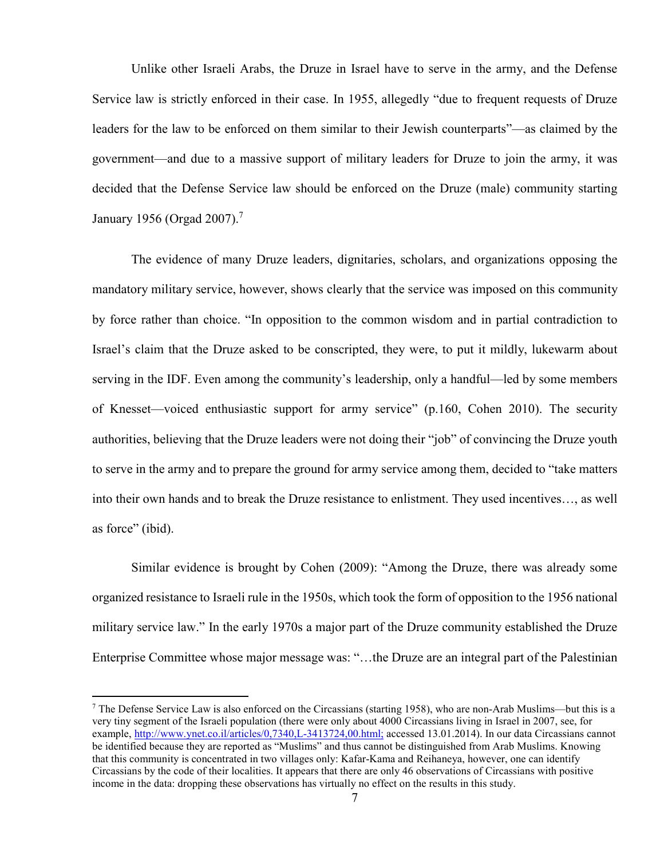Unlike other Israeli Arabs, the Druze in Israel have to serve in the army, and the Defense Service law is strictly enforced in their case. In 1955, allegedly "due to frequent requests of Druze leaders for the law to be enforced on them similar to their Jewish counterparts"—as claimed by the government—and due to a massive support of military leaders for Druze to join the army, it was decided that the Defense Service law should be enforced on the Druze (male) community starting January 1956 (Orgad 2007).<sup>7</sup>

The evidence of many Druze leaders, dignitaries, scholars, and organizations opposing the mandatory military service, however, shows clearly that the service was imposed on this community by force rather than choice. "In opposition to the common wisdom and in partial contradiction to Israel's claim that the Druze asked to be conscripted, they were, to put it mildly, lukewarm about serving in the IDF. Even among the community's leadership, only a handful—led by some members of Knesset—voiced enthusiastic support for army service" (p.160, Cohen 2010). The security authorities, believing that the Druze leaders were not doing their "job" of convincing the Druze youth to serve in the army and to prepare the ground for army service among them, decided to "take matters into their own hands and to break the Druze resistance to enlistment. They used incentives…, as well as force" (ibid).

Similar evidence is brought by Cohen (2009): "Among the Druze, there was already some organized resistance to Israeli rule in the 1950s, which took the form of opposition to the 1956 national military service law." In the early 1970s a major part of the Druze community established the Druze Enterprise Committee whose major message was: "…the Druze are an integral part of the Palestinian

 $<sup>7</sup>$  The Defense Service Law is also enforced on the Circassians (starting 1958), who are non-Arab Muslims—but this is a</sup> very tiny segment of the Israeli population (there were only about 4000 Circassians living in Israel in 2007, see, for example, http://www.ynet.co.il/articles/0,7340,L-3413724,00.html; accessed 13.01.2014). In our data Circassians cannot be identified because they are reported as "Muslims" and thus cannot be distinguished from Arab Muslims. Knowing that this community is concentrated in two villages only: Kafar-Kama and Reihaneya, however, one can identify Circassians by the code of their localities. It appears that there are only 46 observations of Circassians with positive income in the data: dropping these observations has virtually no effect on the results in this study.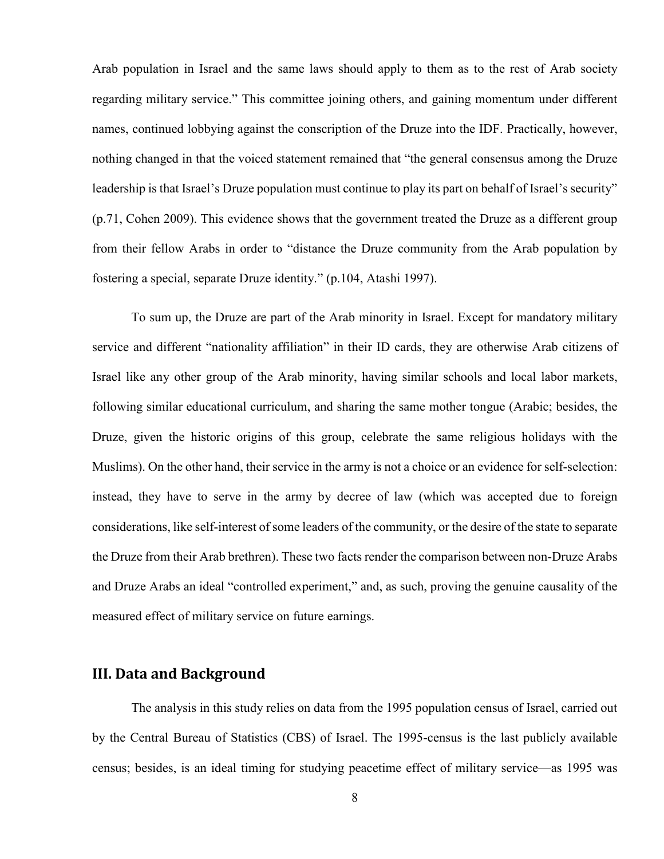Arab population in Israel and the same laws should apply to them as to the rest of Arab society regarding military service." This committee joining others, and gaining momentum under different names, continued lobbying against the conscription of the Druze into the IDF. Practically, however, nothing changed in that the voiced statement remained that "the general consensus among the Druze leadership is that Israel's Druze population must continue to play its part on behalf of Israel's security" (p.71, Cohen 2009). This evidence shows that the government treated the Druze as a different group from their fellow Arabs in order to "distance the Druze community from the Arab population by fostering a special, separate Druze identity." (p.104, Atashi 1997).

To sum up, the Druze are part of the Arab minority in Israel. Except for mandatory military service and different "nationality affiliation" in their ID cards, they are otherwise Arab citizens of Israel like any other group of the Arab minority, having similar schools and local labor markets, following similar educational curriculum, and sharing the same mother tongue (Arabic; besides, the Druze, given the historic origins of this group, celebrate the same religious holidays with the Muslims). On the other hand, their service in the army is not a choice or an evidence for self-selection: instead, they have to serve in the army by decree of law (which was accepted due to foreign considerations, like self-interest of some leaders of the community, or the desire of the state to separate the Druze from their Arab brethren). These two facts render the comparison between non-Druze Arabs and Druze Arabs an ideal "controlled experiment," and, as such, proving the genuine causality of the measured effect of military service on future earnings.

### **III. Data and Background**

The analysis in this study relies on data from the 1995 population census of Israel, carried out by the Central Bureau of Statistics (CBS) of Israel. The 1995-census is the last publicly available census; besides, is an ideal timing for studying peacetime effect of military service—as 1995 was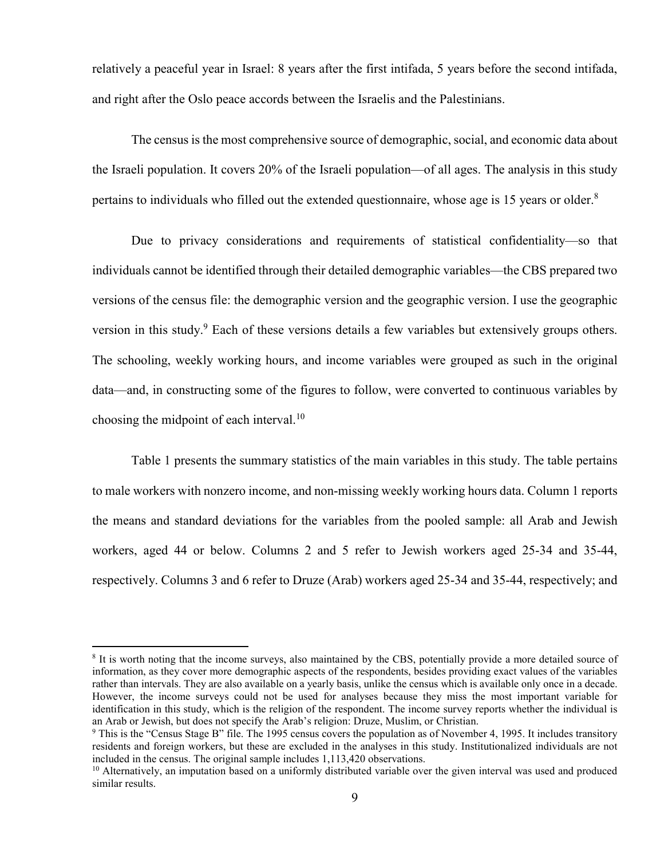relatively a peaceful year in Israel: 8 years after the first intifada, 5 years before the second intifada, and right after the Oslo peace accords between the Israelis and the Palestinians.

The census is the most comprehensive source of demographic, social, and economic data about the Israeli population. It covers 20% of the Israeli population—of all ages. The analysis in this study pertains to individuals who filled out the extended questionnaire, whose age is 15 years or older.<sup>8</sup>

Due to privacy considerations and requirements of statistical confidentiality—so that individuals cannot be identified through their detailed demographic variables—the CBS prepared two versions of the census file: the demographic version and the geographic version. I use the geographic version in this study.<sup>9</sup> Each of these versions details a few variables but extensively groups others. The schooling, weekly working hours, and income variables were grouped as such in the original data—and, in constructing some of the figures to follow, were converted to continuous variables by choosing the midpoint of each interval.<sup>10</sup>

Table 1 presents the summary statistics of the main variables in this study. The table pertains to male workers with nonzero income, and non-missing weekly working hours data. Column 1 reports the means and standard deviations for the variables from the pooled sample: all Arab and Jewish workers, aged 44 or below. Columns 2 and 5 refer to Jewish workers aged 25-34 and 35-44, respectively. Columns 3 and 6 refer to Druze (Arab) workers aged 25-34 and 35-44, respectively; and

<sup>&</sup>lt;sup>8</sup> It is worth noting that the income surveys, also maintained by the CBS, potentially provide a more detailed source of information, as they cover more demographic aspects of the respondents, besides providing exact values of the variables rather than intervals. They are also available on a yearly basis, unlike the census which is available only once in a decade. However, the income surveys could not be used for analyses because they miss the most important variable for identification in this study, which is the religion of the respondent. The income survey reports whether the individual is an Arab or Jewish, but does not specify the Arab's religion: Druze, Muslim, or Christian.

<sup>&</sup>lt;sup>9</sup> This is the "Census Stage B" file. The 1995 census covers the population as of November 4, 1995. It includes transitory residents and foreign workers, but these are excluded in the analyses in this study. Institutionalized individuals are not included in the census. The original sample includes 1,113,420 observations.

<sup>&</sup>lt;sup>10</sup> Alternatively, an imputation based on a uniformly distributed variable over the given interval was used and produced similar results.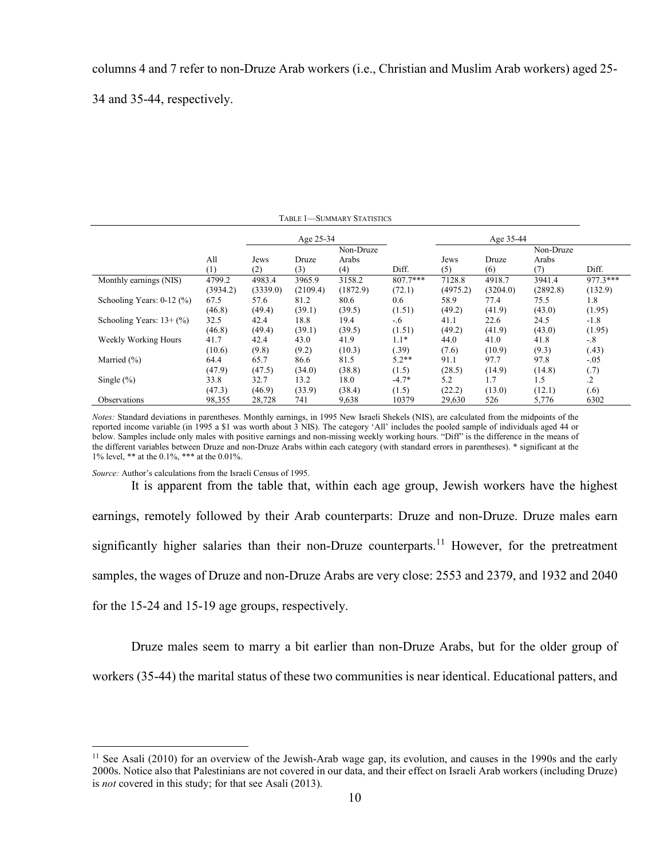columns 4 and 7 refer to non-Druze Arab workers (i.e., Christian and Muslim Arab workers) aged 25-

34 and 35-44, respectively.

| <b>TABLE 1-SUMMARY STATISTICS</b> |          |           |          |           |            |          |           |           |            |
|-----------------------------------|----------|-----------|----------|-----------|------------|----------|-----------|-----------|------------|
|                                   |          | Age 25-34 |          |           |            |          | Age 35-44 |           |            |
|                                   |          |           |          | Non-Druze |            |          |           | Non-Druze |            |
|                                   | All      | Jews      | Druze    | Arabs     |            | Jews     | Druze     | Arabs     |            |
|                                   | (1)      | (2)       | (3)      | (4)       | Diff.      | (5)      | (6)       | (7)       | Diff.      |
| Monthly earnings (NIS)            | 4799.2   | 4983.4    | 3965.9   | 3158.2    | $807.7***$ | 7128.8   | 4918.7    | 3941.4    | $977.3***$ |
|                                   | (3934.2) | (3339.0)  | (2109.4) | (1872.9)  | (72.1)     | (4975.2) | (3204.0)  | (2892.8)  | (132.9)    |
| Schooling Years: $0-12$ (%)       | 67.5     | 57.6      | 81.2     | 80.6      | 0.6        | 58.9     | 77.4      | 75.5      | 1.8        |
|                                   | (46.8)   | (49.4)    | (39.1)   | (39.5)    | (1.51)     | (49.2)   | (41.9)    | (43.0)    | (1.95)     |
| Schooling Years: $13+(%)$         | 32.5     | 42.4      | 18.8     | 19.4      | -.6        | 41.1     | 22.6      | 24.5      | $-1.8$     |
|                                   | (46.8)   | (49.4)    | (39.1)   | (39.5)    | (1.51)     | (49.2)   | (41.9)    | (43.0)    | (1.95)     |
| Weekly Working Hours              | 41.7     | 42.4      | 43.0     | 41.9      | $1.1*$     | 44.0     | 41.0      | 41.8      | $-.8$      |
|                                   | (10.6)   | (9.8)     | (9.2)    | (10.3)    | (.39)      | (7.6)    | (10.9)    | (9.3)     | (.43)      |
| Married $(\% )$                   | 64.4     | 65.7      | 86.6     | 81.5      | $5.2**$    | 91.1     | 97.7      | 97.8      | $-.05$     |
|                                   | (47.9)   | (47.5)    | (34.0)   | (38.8)    | (1.5)      | (28.5)   | (14.9)    | (14.8)    | (0.7)      |
| Single $(\% )$                    | 33.8     | 32.7      | 13.2     | 18.0      | $-4.7*$    | 5.2      | 1.7       | 1.5       | $\cdot$ 2  |
|                                   | (47.3)   | (46.9)    | (33.9)   | (38.4)    | (1.5)      | (22.2)   | (13.0)    | (12.1)    | (.6)       |
| Observations                      | 98,355   | 28,728    | 741      | 9,638     | 10379      | 29,630   | 526       | 5,776     | 6302       |

*Notes:* Standard deviations in parentheses. Monthly earnings, in 1995 New Israeli Shekels (NIS), are calculated from the midpoints of the reported income variable (in 1995 a \$1 was worth about 3 NIS). The category 'All' includes the pooled sample of individuals aged 44 or below. Samples include only males with positive earnings and non-missing weekly working hours. "Diff" is the difference in the means of the different variables between Druze and non-Druze Arabs within each category (with standard errors in parentheses). \* significant at the 1% level, \*\* at the 0.1%, \*\*\* at the 0.01%.

*Source:* Author's calculations from the Israeli Census of 1995.

 $\overline{a}$ 

It is apparent from the table that, within each age group, Jewish workers have the highest earnings, remotely followed by their Arab counterparts: Druze and non-Druze. Druze males earn significantly higher salaries than their non-Druze counterparts.<sup>11</sup> However, for the pretreatment samples, the wages of Druze and non-Druze Arabs are very close: 2553 and 2379, and 1932 and 2040 for the 15-24 and 15-19 age groups, respectively.

Druze males seem to marry a bit earlier than non-Druze Arabs, but for the older group of workers (35-44) the marital status of these two communities is near identical. Educational patters, and

 $11$  See Asali (2010) for an overview of the Jewish-Arab wage gap, its evolution, and causes in the 1990s and the early 2000s. Notice also that Palestinians are not covered in our data, and their effect on Israeli Arab workers (including Druze) is *not* covered in this study; for that see Asali (2013).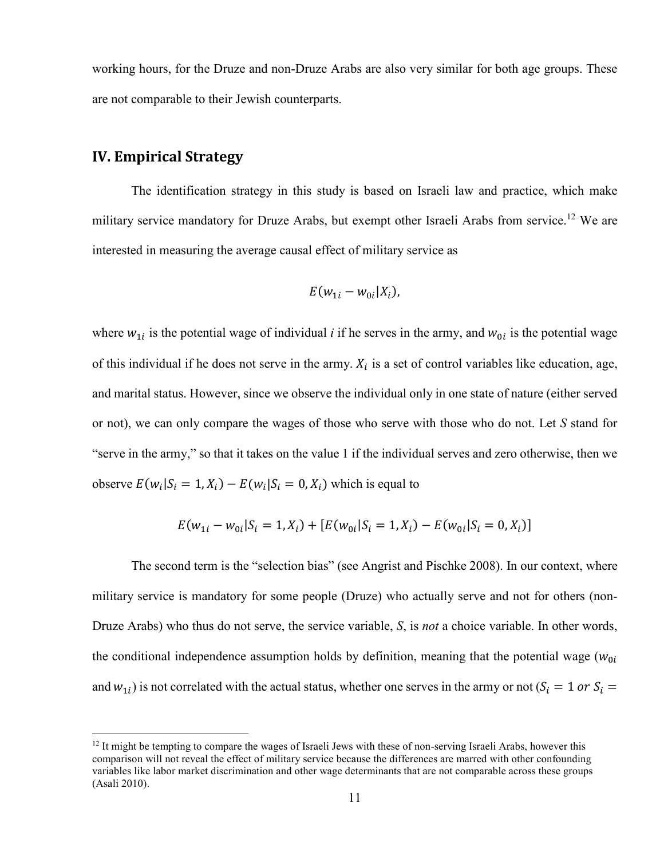working hours, for the Druze and non-Druze Arabs are also very similar for both age groups. These are not comparable to their Jewish counterparts.

## **IV. Empirical Strategy**

 $\overline{a}$ 

The identification strategy in this study is based on Israeli law and practice, which make military service mandatory for Druze Arabs, but exempt other Israeli Arabs from service.<sup>12</sup> We are interested in measuring the average causal effect of military service as

$$
E(w_{1i}-w_{0i}|X_i),
$$

where  $w_{1i}$  is the potential wage of individual *i* if he serves in the army, and  $w_{0i}$  is the potential wage of this individual if he does not serve in the army.  $X_i$  is a set of control variables like education, age, and marital status. However, since we observe the individual only in one state of nature (either served or not), we can only compare the wages of those who serve with those who do not. Let *S* stand for "serve in the army," so that it takes on the value 1 if the individual serves and zero otherwise, then we observe  $E(w_i|S_i = 1, X_i) - E(w_i|S_i = 0, X_i)$  which is equal to

$$
E(w_{1i} - w_{0i} | S_i = 1, X_i) + [E(w_{0i} | S_i = 1, X_i) - E(w_{0i} | S_i = 0, X_i)]
$$

The second term is the "selection bias" (see Angrist and Pischke 2008). In our context, where military service is mandatory for some people (Druze) who actually serve and not for others (non-Druze Arabs) who thus do not serve, the service variable, *S*, is *not* a choice variable. In other words, the conditional independence assumption holds by definition, meaning that the potential wage  $(w_{0i})$ and  $w_{1i}$ ) is not correlated with the actual status, whether one serves in the army or not ( $S_i = 1$  or  $S_i =$ 

 $12$  It might be tempting to compare the wages of Israeli Jews with these of non-serving Israeli Arabs, however this comparison will not reveal the effect of military service because the differences are marred with other confounding variables like labor market discrimination and other wage determinants that are not comparable across these groups (Asali 2010).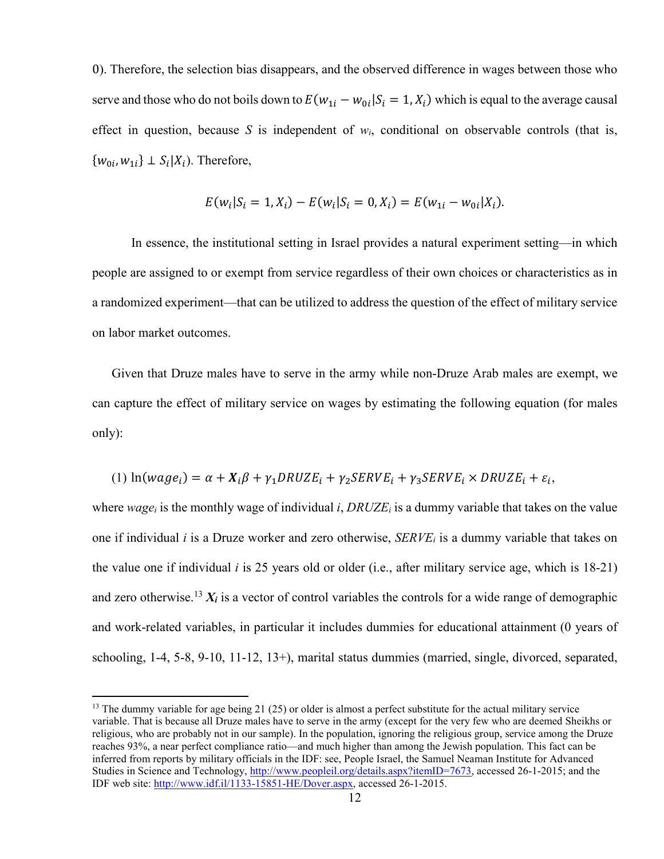0). Therefore, the selection bias disappears, and the observed difference in wages between those who serve and those who do not boils down to  $E(w_{1i} - w_{0i} | S_i = 1, X_i)$  which is equal to the average causal effect in question, because *S* is independent of  $w_i$ , conditional on observable controls (that is,  $\{w_{0i}, w_{1i}\} \perp S_i | X_i$ ). Therefore,

$$
E(w_i|S_i = 1, X_i) - E(w_i|S_i = 0, X_i) = E(w_{1i} - w_{0i}|X_i).
$$

In essence, the institutional setting in Israel provides a natural experiment setting—in which people are assigned to or exempt from service regardless of their own choices or characteristics as in a randomized experiment—that can be utilized to address the question of the effect of military service on labor market outcomes.

Given that Druze males have to serve in the army while non-Druze Arab males are exempt, we can capture the effect of military service on wages by estimating the following equation (for males only):

(1) 
$$
\ln(wage_i) = \alpha + X_i\beta + \gamma_1 DRUZE_i + \gamma_2SERVE_i + \gamma_3SERVE_i \times DRUZE_i + \varepsilon_i
$$
,

where *wagei* is the monthly wage of individual *i*, *DRUZE<sup>i</sup>* is a dummy variable that takes on the value one if individual *i* is a Druze worker and zero otherwise, *SERVEi* is a dummy variable that takes on the value one if individual *i* is 25 years old or older (i.e., after military service age, which is 18-21) and zero otherwise.<sup>13</sup>  $X_i$  is a vector of control variables the controls for a wide range of demographic and work-related variables, in particular it includes dummies for educational attainment (0 years of schooling, 1-4, 5-8, 9-10, 11-12, 13+), marital status dummies (married, single, divorced, separated,

<sup>&</sup>lt;sup>13</sup> The dummy variable for age being 21 (25) or older is almost a perfect substitute for the actual military service variable. That is because all Druze males have to serve in the army (except for the very few who are deemed Sheikhs or religious, who are probably not in our sample). In the population, ignoring the religious group, service among the Druze reaches 93%, a near perfect compliance ratio—and much higher than among the Jewish population. This fact can be inferred from reports by military officials in the IDF: see, People Israel, the Samuel Neaman Institute for Advanced Studies in Science and Technology, http://www.peopleil.org/details.aspx?itemID=7673, accessed 26-1-2015; and the IDF web site: http://www.idf.il/1133-15851-HE/Dover.aspx, accessed 26-1-2015.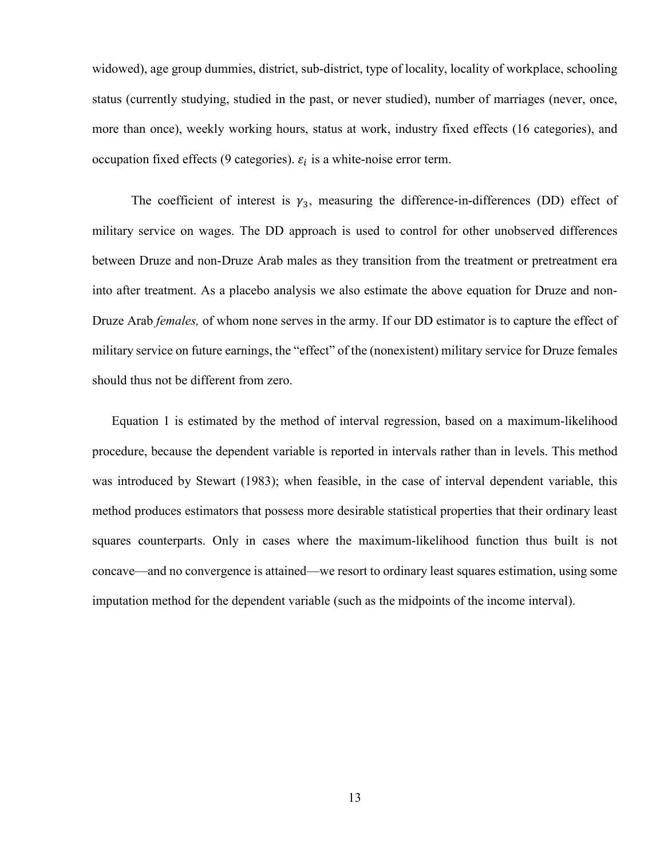widowed), age group dummies, district, sub-district, type of locality, locality of workplace, schooling status (currently studying, studied in the past, or never studied), number of marriages (never, once, more than once), weekly working hours, status at work, industry fixed effects (16 categories), and occupation fixed effects (9 categories).  $\varepsilon_i$  is a white-noise error term.

The coefficient of interest is  $\gamma_3$ , measuring the difference-in-differences (DD) effect of military service on wages. The DD approach is used to control for other unobserved differences between Druze and non-Druze Arab males as they transition from the treatment or pretreatment era into after treatment. As a placebo analysis we also estimate the above equation for Druze and non-Druze Arab *females,* of whom none serves in the army. If our DD estimator is to capture the effect of military service on future earnings, the "effect" of the (nonexistent) military service for Druze females should thus not be different from zero.

Equation 1 is estimated by the method of interval regression, based on a maximum-likelihood procedure, because the dependent variable is reported in intervals rather than in levels. This method was introduced by Stewart (1983); when feasible, in the case of interval dependent variable, this method produces estimators that possess more desirable statistical properties that their ordinary least squares counterparts. Only in cases where the maximum-likelihood function thus built is not concave—and no convergence is attained—we resort to ordinary least squares estimation, using some imputation method for the dependent variable (such as the midpoints of the income interval).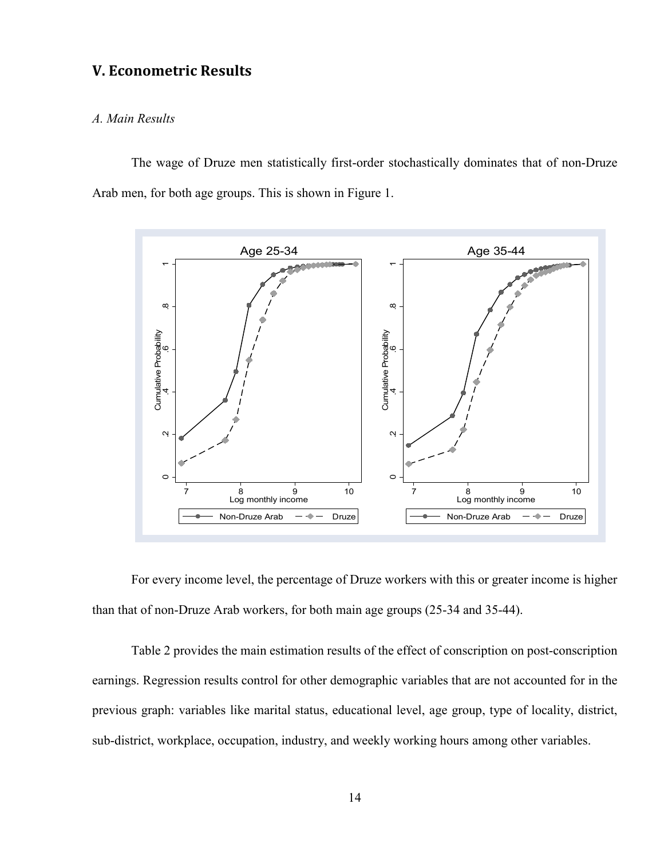## **V. Econometric Results**

#### *A. Main Results*

The wage of Druze men statistically first-order stochastically dominates that of non-Druze Arab men, for both age groups. This is shown in Figure 1.



For every income level, the percentage of Druze workers with this or greater income is higher than that of non-Druze Arab workers, for both main age groups (25-34 and 35-44).

Table 2 provides the main estimation results of the effect of conscription on post-conscription earnings. Regression results control for other demographic variables that are not accounted for in the previous graph: variables like marital status, educational level, age group, type of locality, district, sub-district, workplace, occupation, industry, and weekly working hours among other variables.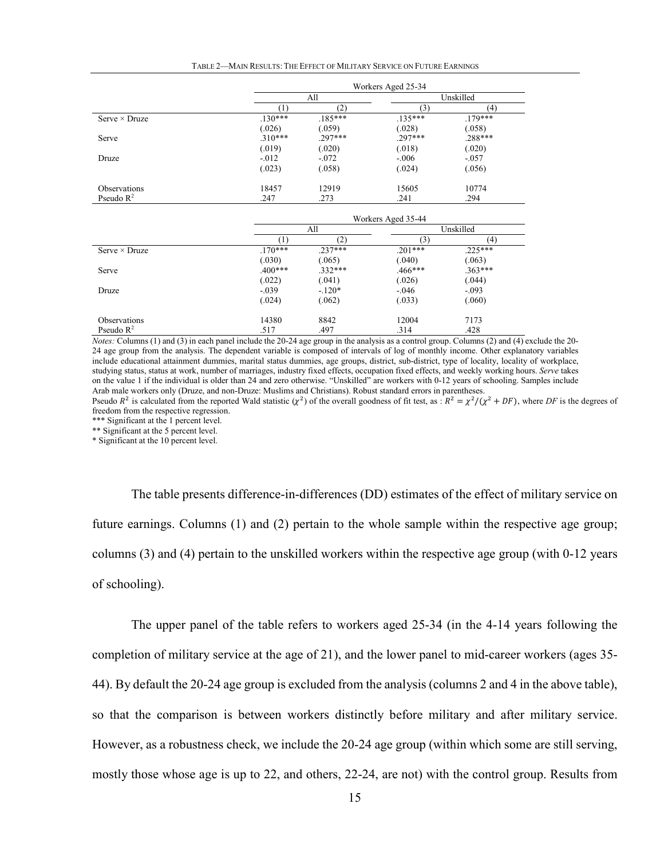| TABLE 2—MAIN RESULTS: THE EFFECT OF MILITARY SERVICE ON FUTURE EARNINGS |
|-------------------------------------------------------------------------|
|-------------------------------------------------------------------------|

|                       | Workers Aged 25-34 |           |           |           |  |  |
|-----------------------|--------------------|-----------|-----------|-----------|--|--|
|                       | All                |           | Unskilled |           |  |  |
|                       |                    | (2)       |           | (4)       |  |  |
| Serve $\times$ Druze  | $.130***$          | $.185***$ | $.135***$ | $.179***$ |  |  |
|                       | (.026)             | (.059)    | (.028)    | (.058)    |  |  |
| Serve                 | $.310***$          | $.297***$ | .297***   | .288***   |  |  |
|                       | (.019)             | (.020)    | (.018)    | (.020)    |  |  |
| Druze                 | $-0.012$           | $-.072$   | $-.006$   | $-.057$   |  |  |
|                       | (.023)             | (.058)    | (.024)    | (.056)    |  |  |
| Observations          | 18457              | 12919     | 15605     | 10774     |  |  |
| Pseudo $\mathbb{R}^2$ | .247               | .273      | .241      | .294      |  |  |

|                       | Workers Aged 35-44 |           |                |           |  |  |
|-----------------------|--------------------|-----------|----------------|-----------|--|--|
|                       | All                |           | Unskilled      |           |  |  |
|                       |                    |           | $\mathfrak{Z}$ | (4)       |  |  |
| Serve $\times$ Druze  | $170***$           | $237***$  | $201***$       | $.225***$ |  |  |
|                       | (.030)             | (.065)    | (.040)         | (.063)    |  |  |
| Serve                 | $.400***$          | $.332***$ | $.466***$      | $.363***$ |  |  |
|                       | (.022)             | (.041)    | (.026)         | (.044)    |  |  |
| Druze                 | $-.039$            | $-120*$   | $-.046$        | $-.093$   |  |  |
|                       | (.024)             | (.062)    | (.033)         | (.060)    |  |  |
| Observations          | 14380              | 8842      | 12004          | 7173      |  |  |
| Pseudo $\mathbb{R}^2$ | .517               | .497      | .314           | .428      |  |  |

*Notes:* Columns (1) and (3) in each panel include the 20-24 age group in the analysis as a control group. Columns (2) and (4) exclude the 20-24 age group from the analysis. The dependent variable is composed of intervals of log of monthly income. Other explanatory variables include educational attainment dummies, marital status dummies, age groups, district, sub-district, type of locality, locality of workplace, studying status, status at work, number of marriages, industry fixed effects, occupation fixed effects, and weekly working hours. *Serve* takes on the value 1 if the individual is older than 24 and zero otherwise. "Unskilled" are workers with 0-12 years of schooling. Samples include Arab male workers only (Druze, and non-Druze: Muslims and Christians). Robust standard errors in parentheses.

Pseudo  $R^2$  is calculated from the reported Wald statistic  $(\chi^2)$  of the overall goodness of fit test, as :  $R^2 = \chi^2/(\chi^2 + DF)$ , where DF is the degrees of freedom from the respective regression.

\*\*\* Significant at the 1 percent level.

\*\* Significant at the 5 percent level.

\* Significant at the 10 percent level.

The table presents difference-in-differences (DD) estimates of the effect of military service on future earnings. Columns (1) and (2) pertain to the whole sample within the respective age group; columns (3) and (4) pertain to the unskilled workers within the respective age group (with 0-12 years of schooling).

The upper panel of the table refers to workers aged 25-34 (in the 4-14 years following the completion of military service at the age of 21), and the lower panel to mid-career workers (ages 35- 44). By default the 20-24 age group is excluded from the analysis (columns 2 and 4 in the above table), so that the comparison is between workers distinctly before military and after military service. However, as a robustness check, we include the 20-24 age group (within which some are still serving, mostly those whose age is up to 22, and others, 22-24, are not) with the control group. Results from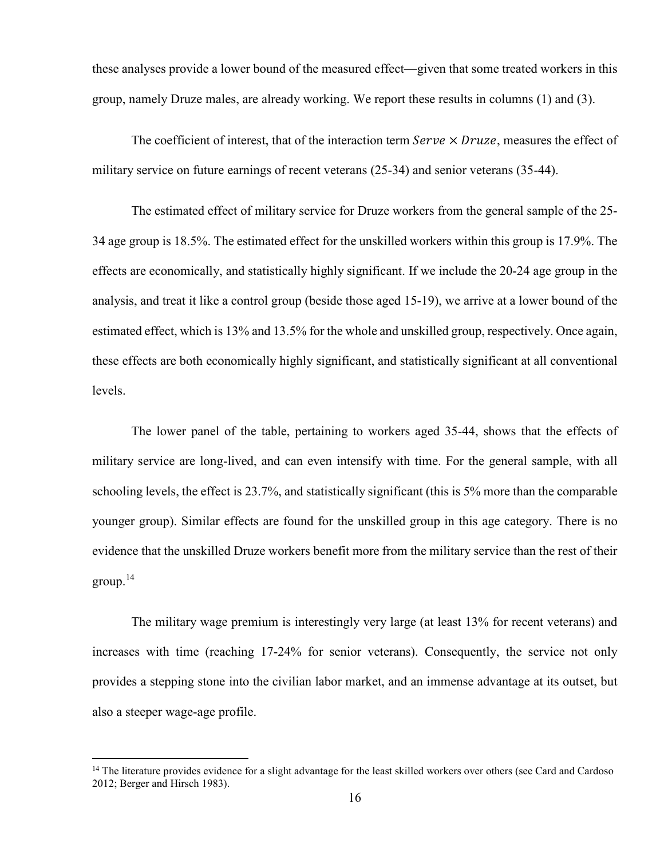these analyses provide a lower bound of the measured effect—given that some treated workers in this group, namely Druze males, are already working. We report these results in columns (1) and (3).

The coefficient of interest, that of the interaction term  $Service \times Druze$ , measures the effect of military service on future earnings of recent veterans (25-34) and senior veterans (35-44).

The estimated effect of military service for Druze workers from the general sample of the 25- 34 age group is 18.5%. The estimated effect for the unskilled workers within this group is 17.9%. The effects are economically, and statistically highly significant. If we include the 20-24 age group in the analysis, and treat it like a control group (beside those aged 15-19), we arrive at a lower bound of the estimated effect, which is 13% and 13.5% for the whole and unskilled group, respectively. Once again, these effects are both economically highly significant, and statistically significant at all conventional levels.

The lower panel of the table, pertaining to workers aged 35-44, shows that the effects of military service are long-lived, and can even intensify with time. For the general sample, with all schooling levels, the effect is 23.7%, and statistically significant (this is 5% more than the comparable younger group). Similar effects are found for the unskilled group in this age category. There is no evidence that the unskilled Druze workers benefit more from the military service than the rest of their  $\text{group.}^{14}$ 

The military wage premium is interestingly very large (at least 13% for recent veterans) and increases with time (reaching 17-24% for senior veterans). Consequently, the service not only provides a stepping stone into the civilian labor market, and an immense advantage at its outset, but also a steeper wage-age profile.

<sup>&</sup>lt;sup>14</sup> The literature provides evidence for a slight advantage for the least skilled workers over others (see Card and Cardoso 2012; Berger and Hirsch 1983).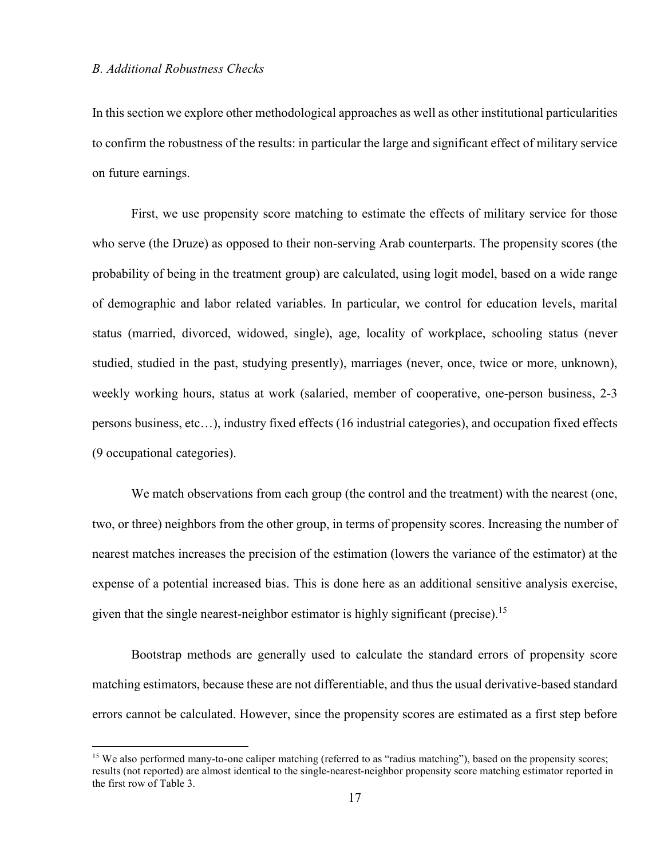$\overline{a}$ 

In this section we explore other methodological approaches as well as other institutional particularities to confirm the robustness of the results: in particular the large and significant effect of military service on future earnings.

First, we use propensity score matching to estimate the effects of military service for those who serve (the Druze) as opposed to their non-serving Arab counterparts. The propensity scores (the probability of being in the treatment group) are calculated, using logit model, based on a wide range of demographic and labor related variables. In particular, we control for education levels, marital status (married, divorced, widowed, single), age, locality of workplace, schooling status (never studied, studied in the past, studying presently), marriages (never, once, twice or more, unknown), weekly working hours, status at work (salaried, member of cooperative, one-person business, 2-3 persons business, etc…), industry fixed effects (16 industrial categories), and occupation fixed effects (9 occupational categories).

We match observations from each group (the control and the treatment) with the nearest (one, two, or three) neighbors from the other group, in terms of propensity scores. Increasing the number of nearest matches increases the precision of the estimation (lowers the variance of the estimator) at the expense of a potential increased bias. This is done here as an additional sensitive analysis exercise, given that the single nearest-neighbor estimator is highly significant (precise).<sup>15</sup>

Bootstrap methods are generally used to calculate the standard errors of propensity score matching estimators, because these are not differentiable, and thus the usual derivative-based standard errors cannot be calculated. However, since the propensity scores are estimated as a first step before

<sup>&</sup>lt;sup>15</sup> We also performed many-to-one caliper matching (referred to as "radius matching"), based on the propensity scores; results (not reported) are almost identical to the single-nearest-neighbor propensity score matching estimator reported in the first row of Table 3.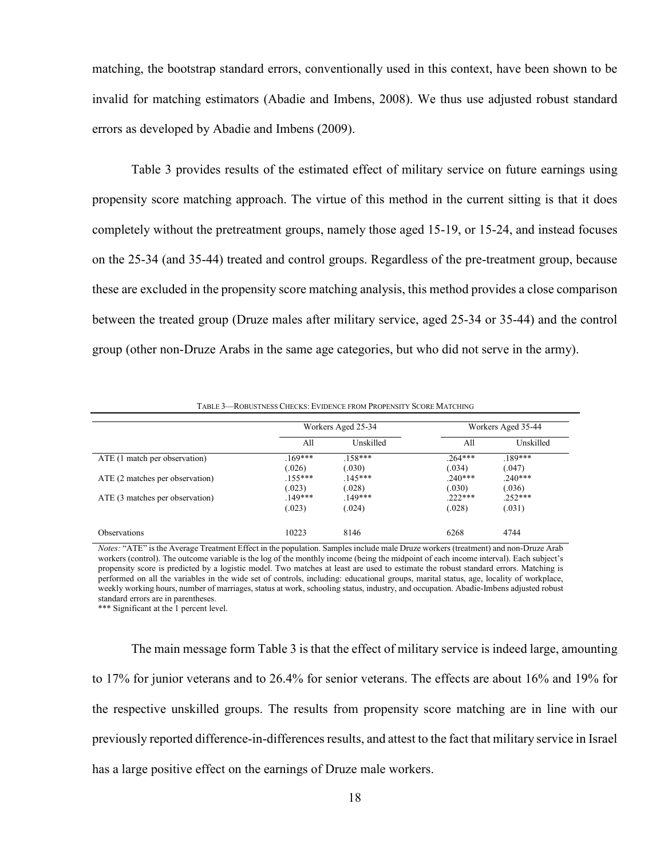matching, the bootstrap standard errors, conventionally used in this context, have been shown to be invalid for matching estimators (Abadie and Imbens, 2008). We thus use adjusted robust standard errors as developed by Abadie and Imbens (2009).

Table 3 provides results of the estimated effect of military service on future earnings using propensity score matching approach. The virtue of this method in the current sitting is that it does completely without the pretreatment groups, namely those aged 15-19, or 15-24, and instead focuses on the 25-34 (and 35-44) treated and control groups. Regardless of the pre-treatment group, because these are excluded in the propensity score matching analysis, this method provides a close comparison between the treated group (Druze males after military service, aged 25-34 or 35-44) and the control group (other non-Druze Arabs in the same age categories, but who did not serve in the army).

|                                 | Workers Aged 25-34 |           | Workers Aged 35-44 |           |
|---------------------------------|--------------------|-----------|--------------------|-----------|
|                                 | All                | Unskilled | All                | Unskilled |
| ATE (1 match per observation)   | $169***$           | $.158***$ | $.264***$          | $.189***$ |
|                                 | (.026)             | (.030)    | (.034)             | (.047)    |
| ATE (2 matches per observation) | $.155***$          | $.145***$ | $.240***$          | $.240***$ |
|                                 | (.023)             | (.028)    | (.030)             | (.036)    |
| ATE (3 matches per observation) | $149***$           | $149***$  | $222***$           | $.252***$ |
|                                 | (.023)             | (.024)    | (.028)             | (.031)    |
| <b>Observations</b>             | 10223              | 8146      | 6268               | 4744      |

TABLE 3—ROBUSTNESS CHECKS: EVIDENCE FROM PROPENSITY SCORE MATCHING

*Notes:* "ATE" is the Average Treatment Effect in the population. Samples include male Druze workers (treatment) and non-Druze Arab workers (control). The outcome variable is the log of the monthly income (being the midpoint of each income interval). Each subject's propensity score is predicted by a logistic model. Two matches at least are used to estimate the robust standard errors. Matching is performed on all the variables in the wide set of controls, including: educational groups, marital status, age, locality of workplace, weekly working hours, number of marriages, status at work, schooling status, industry, and occupation. Abadie-Imbens adjusted robust standard errors are in parentheses.

\*\*\* Significant at the 1 percent level.

The main message form Table 3 is that the effect of military service is indeed large, amounting to 17% for junior veterans and to 26.4% for senior veterans. The effects are about 16% and 19% for the respective unskilled groups. The results from propensity score matching are in line with our previously reported difference-in-differences results, and attest to the fact that military service in Israel has a large positive effect on the earnings of Druze male workers.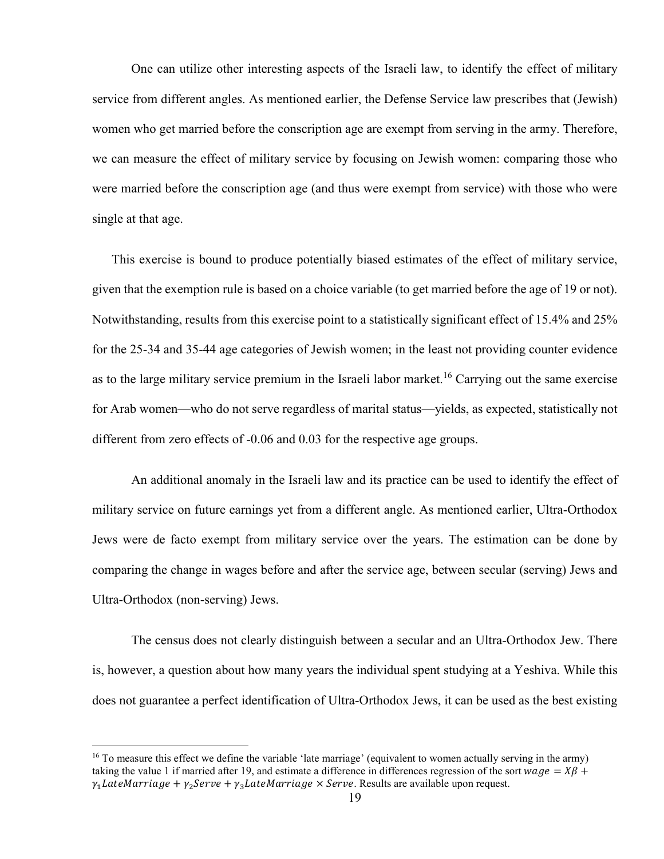One can utilize other interesting aspects of the Israeli law, to identify the effect of military service from different angles. As mentioned earlier, the Defense Service law prescribes that (Jewish) women who get married before the conscription age are exempt from serving in the army. Therefore, we can measure the effect of military service by focusing on Jewish women: comparing those who were married before the conscription age (and thus were exempt from service) with those who were single at that age.

This exercise is bound to produce potentially biased estimates of the effect of military service, given that the exemption rule is based on a choice variable (to get married before the age of 19 or not). Notwithstanding, results from this exercise point to a statistically significant effect of 15.4% and 25% for the 25-34 and 35-44 age categories of Jewish women; in the least not providing counter evidence as to the large military service premium in the Israeli labor market.<sup>16</sup> Carrying out the same exercise for Arab women—who do not serve regardless of marital status—yields, as expected, statistically not different from zero effects of -0.06 and 0.03 for the respective age groups.

An additional anomaly in the Israeli law and its practice can be used to identify the effect of military service on future earnings yet from a different angle. As mentioned earlier, Ultra-Orthodox Jews were de facto exempt from military service over the years. The estimation can be done by comparing the change in wages before and after the service age, between secular (serving) Jews and Ultra-Orthodox (non-serving) Jews.

The census does not clearly distinguish between a secular and an Ultra-Orthodox Jew. There is, however, a question about how many years the individual spent studying at a Yeshiva. While this does not guarantee a perfect identification of Ultra-Orthodox Jews, it can be used as the best existing

<sup>&</sup>lt;sup>16</sup> To measure this effect we define the variable 'late marriage' (equivalent to women actually serving in the army) taking the value 1 if married after 19, and estimate a difference in differences regression of the sort  $wage = XB$  +  $\gamma_1$  LateMarriage +  $\gamma_2$ Serve +  $\gamma_3$ LateMarriage  $\times$  Serve. Results are available upon request.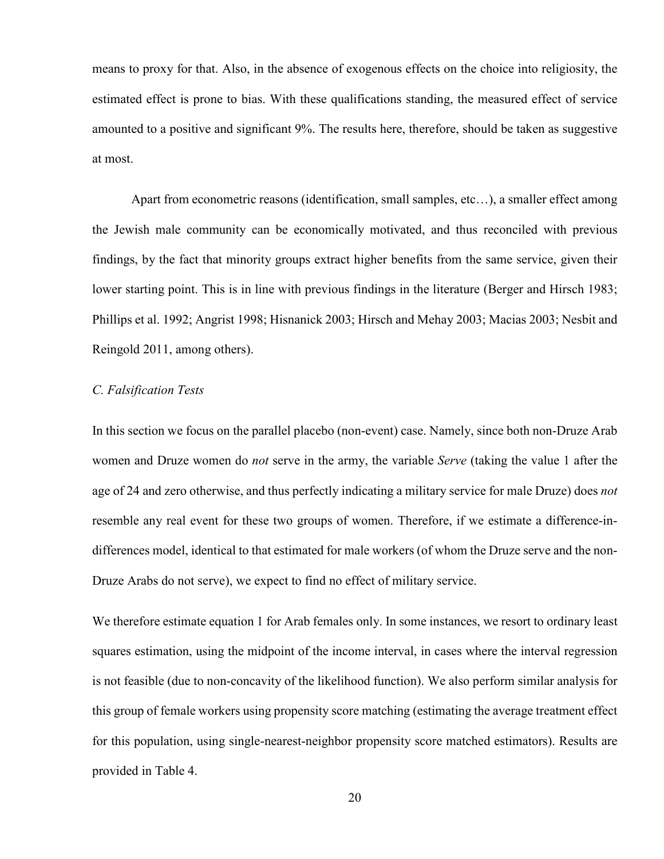means to proxy for that. Also, in the absence of exogenous effects on the choice into religiosity, the estimated effect is prone to bias. With these qualifications standing, the measured effect of service amounted to a positive and significant 9%. The results here, therefore, should be taken as suggestive at most.

Apart from econometric reasons (identification, small samples, etc…), a smaller effect among the Jewish male community can be economically motivated, and thus reconciled with previous findings, by the fact that minority groups extract higher benefits from the same service, given their lower starting point. This is in line with previous findings in the literature (Berger and Hirsch 1983; Phillips et al. 1992; Angrist 1998; Hisnanick 2003; Hirsch and Mehay 2003; Macias 2003; Nesbit and Reingold 2011, among others).

#### *C. Falsification Tests*

In this section we focus on the parallel placebo (non-event) case. Namely, since both non-Druze Arab women and Druze women do *not* serve in the army, the variable *Serve* (taking the value 1 after the age of 24 and zero otherwise, and thus perfectly indicating a military service for male Druze) does *not*  resemble any real event for these two groups of women. Therefore, if we estimate a difference-indifferences model, identical to that estimated for male workers (of whom the Druze serve and the non-Druze Arabs do not serve), we expect to find no effect of military service.

We therefore estimate equation 1 for Arab females only. In some instances, we resort to ordinary least squares estimation, using the midpoint of the income interval, in cases where the interval regression is not feasible (due to non-concavity of the likelihood function). We also perform similar analysis for this group of female workers using propensity score matching (estimating the average treatment effect for this population, using single-nearest-neighbor propensity score matched estimators). Results are provided in Table 4.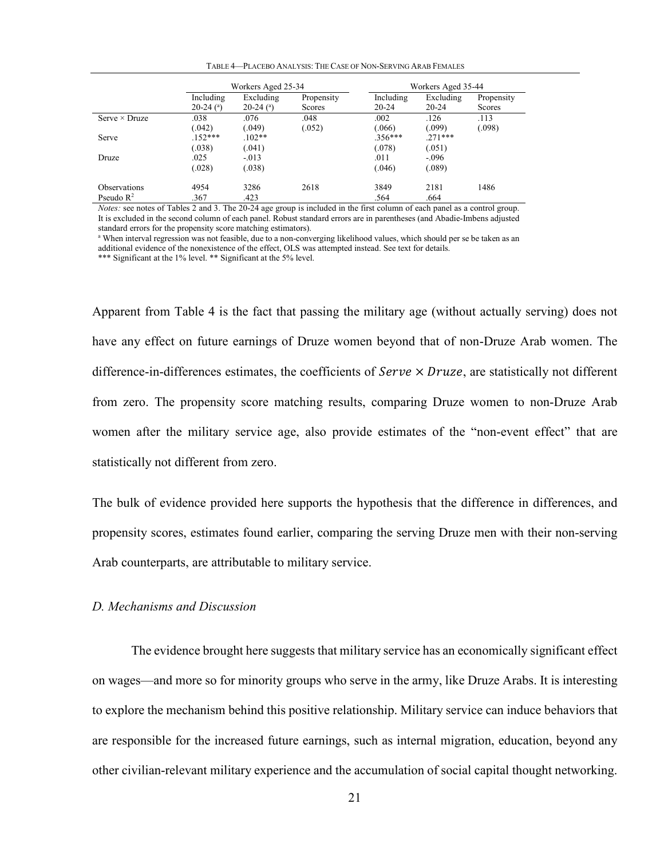| TABLE 4—PLACEBO ANALYSIS: THE CASE OF NON-SERVING ARAB FEMALES |
|----------------------------------------------------------------|
|----------------------------------------------------------------|

|                       | Workers Aged 25-34                    |                                       |                             | Workers Aged 35-44     |                        |                      |  |
|-----------------------|---------------------------------------|---------------------------------------|-----------------------------|------------------------|------------------------|----------------------|--|
|                       | Including<br>$20-24$ ( <sup>a</sup> ) | Excluding<br>$20-24$ ( <sup>a</sup> ) | Propensity<br><b>Scores</b> | Including<br>$20 - 24$ | Excluding<br>$20 - 24$ | Propensity<br>Scores |  |
| Serve $\times$ Druze  | .038                                  | .076                                  | .048                        | .002                   | .126                   | .113                 |  |
|                       | (.042)                                | (.049)                                | (.052)                      | (.066)                 | (.099)                 | (.098)               |  |
| Serve                 | $.152***$                             | $102**$                               |                             | $.356***$              | $271***$               |                      |  |
|                       | (.038)                                | (.041)                                |                             | (.078)                 | (.051)                 |                      |  |
| Druze                 | .025                                  | $-0.013$                              |                             | .011                   | $-.096$                |                      |  |
|                       | (.028)                                | (.038)                                |                             | (.046)                 | (.089)                 |                      |  |
| Observations          | 4954                                  | 3286                                  | 2618                        | 3849                   | 2181                   | 1486                 |  |
| Pseudo $\mathbb{R}^2$ | .367                                  | .423                                  |                             | .564                   | .664                   |                      |  |

*Notes:* see notes of Tables 2 and 3. The 20-24 age group is included in the first column of each panel as a control group. It is excluded in the second column of each panel. Robust standard errors are in parentheses (and Abadie-Imbens adjusted standard errors for the propensity score matching estimators).

<sup>a</sup> When interval regression was not feasible, due to a non-converging likelihood values, which should per se be taken as an additional evidence of the nonexistence of the effect, OLS was attempted instead. See text for details.

\*\*\* Significant at the 1% level. \*\* Significant at the 5% level.

Apparent from Table 4 is the fact that passing the military age (without actually serving) does not have any effect on future earnings of Druze women beyond that of non-Druze Arab women. The difference-in-differences estimates, the coefficients of  $Service \times Druze$ , are statistically not different from zero. The propensity score matching results, comparing Druze women to non-Druze Arab women after the military service age, also provide estimates of the "non-event effect" that are statistically not different from zero.

The bulk of evidence provided here supports the hypothesis that the difference in differences, and propensity scores, estimates found earlier, comparing the serving Druze men with their non-serving Arab counterparts, are attributable to military service.

#### *D. Mechanisms and Discussion*

The evidence brought here suggests that military service has an economically significant effect on wages—and more so for minority groups who serve in the army, like Druze Arabs. It is interesting to explore the mechanism behind this positive relationship. Military service can induce behaviors that are responsible for the increased future earnings, such as internal migration, education, beyond any other civilian-relevant military experience and the accumulation of social capital thought networking.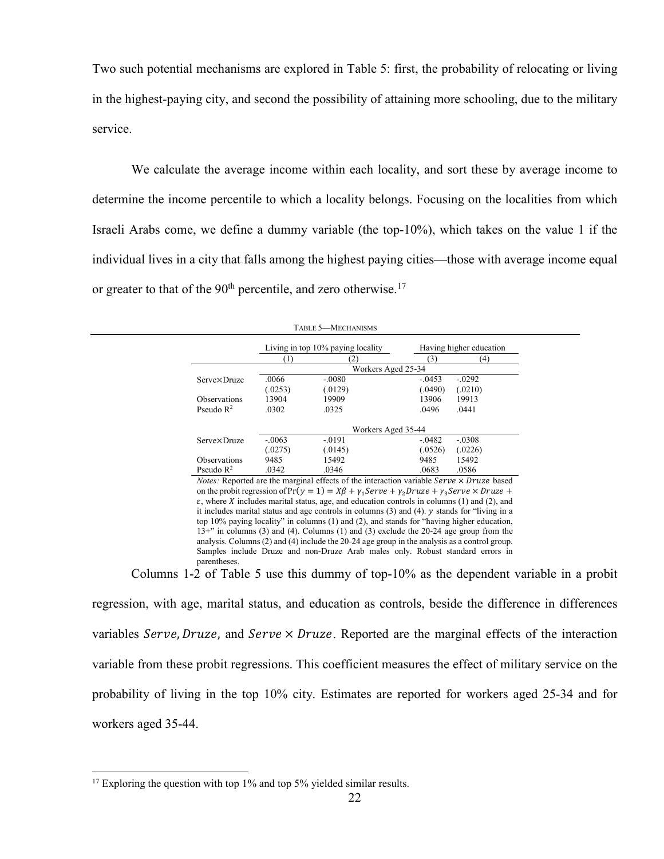Two such potential mechanisms are explored in Table 5: first, the probability of relocating or living in the highest-paying city, and second the possibility of attaining more schooling, due to the military service.

We calculate the average income within each locality, and sort these by average income to determine the income percentile to which a locality belongs. Focusing on the localities from which Israeli Arabs come, we define a dummy variable (the top-10%), which takes on the value 1 if the individual lives in a city that falls among the highest paying cities—those with average income equal or greater to that of the  $90<sup>th</sup>$  percentile, and zero otherwise.<sup>17</sup>

|                       | Living in top 10% paying locality |                    |          | Having higher education |  |  |  |  |
|-----------------------|-----------------------------------|--------------------|----------|-------------------------|--|--|--|--|
|                       |                                   | 21                 | (3)      | (4)                     |  |  |  |  |
|                       |                                   | Workers Aged 25-34 |          |                         |  |  |  |  |
| <b>Serve×Druze</b>    | .0066                             | $-.0080$           | $-0453$  | $-.0292$                |  |  |  |  |
|                       | (.0253)                           | (.0129)            | (.0490)  | (.0210)                 |  |  |  |  |
| <b>Observations</b>   | 13904                             | 19909              | 13906    | 19913                   |  |  |  |  |
| Pseudo $\mathbb{R}^2$ | .0302                             | .0325              | .0496    | .0441                   |  |  |  |  |
|                       | Workers Aged 35-44                |                    |          |                         |  |  |  |  |
| <b>Serve×Druze</b>    | $-.0063$                          | $-.0191$           | $-.0482$ | $-.0308$                |  |  |  |  |
|                       | (.0275)                           | (.0145)            | (.0526)  | (.0226)                 |  |  |  |  |
| <b>Observations</b>   | 9485                              | 15492              | 9485     | 15492                   |  |  |  |  |
| Pseudo $\mathbb{R}^2$ | .0342                             | .0346              | .0683    | .0586                   |  |  |  |  |

TABLE 5—MECHANISMS

*Notes:* Reported are the marginal effects of the interaction variable  $Service \times Druze$  based on the probit regression of  $Pr(y = 1) = X\beta + \gamma_1 Service + \gamma_2 Druze + \gamma_3 Serve \times Druze +$  $\varepsilon$ , where *X* includes marital status, age, and education controls in columns (1) and (2), and it includes marital status and age controls in columns  $(3)$  and  $(4)$ .  $y$  stands for "living in a top 10% paying locality" in columns (1) and (2), and stands for "having higher education, 13+" in columns (3) and (4). Columns (1) and (3) exclude the 20-24 age group from the analysis. Columns (2) and (4) include the 20-24 age group in the analysis as a control group. Samples include Druze and non-Druze Arab males only. Robust standard errors in parentheses.

Columns 1-2 of Table 5 use this dummy of top-10% as the dependent variable in a probit regression, with age, marital status, and education as controls, beside the difference in differences variables Serve, Druze, and Serve  $\times$  Druze. Reported are the marginal effects of the interaction variable from these probit regressions. This coefficient measures the effect of military service on the probability of living in the top 10% city. Estimates are reported for workers aged 25-34 and for workers aged 35-44.

<sup>&</sup>lt;sup>17</sup> Exploring the question with top  $1\%$  and top  $5\%$  yielded similar results.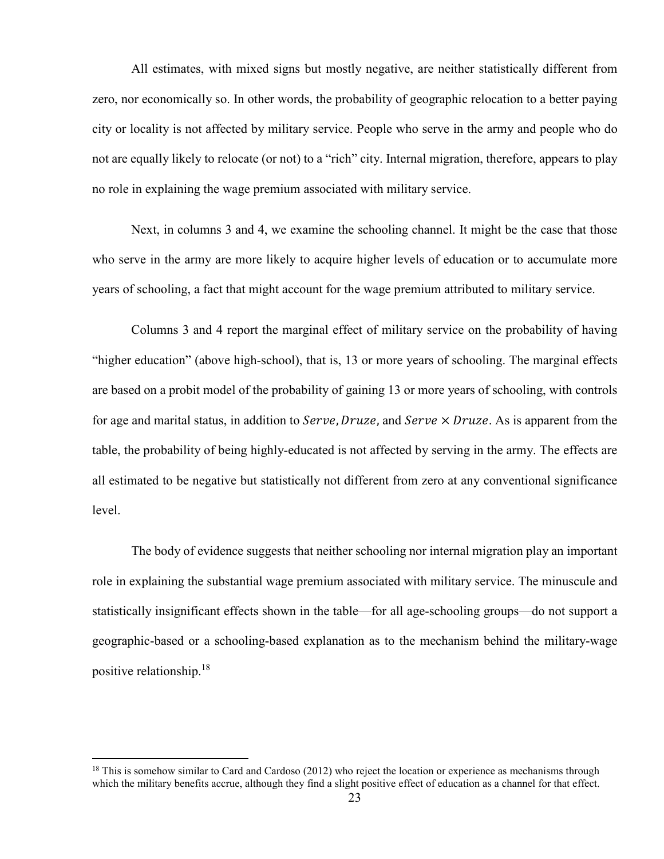All estimates, with mixed signs but mostly negative, are neither statistically different from zero, nor economically so. In other words, the probability of geographic relocation to a better paying city or locality is not affected by military service. People who serve in the army and people who do not are equally likely to relocate (or not) to a "rich" city. Internal migration, therefore, appears to play no role in explaining the wage premium associated with military service.

Next, in columns 3 and 4, we examine the schooling channel. It might be the case that those who serve in the army are more likely to acquire higher levels of education or to accumulate more years of schooling, a fact that might account for the wage premium attributed to military service.

Columns 3 and 4 report the marginal effect of military service on the probability of having "higher education" (above high-school), that is, 13 or more years of schooling. The marginal effects are based on a probit model of the probability of gaining 13 or more years of schooling, with controls for age and marital status, in addition to *Serve*, *Druze*, and *Serve*  $\times$  *Druze*. As is apparent from the table, the probability of being highly-educated is not affected by serving in the army. The effects are all estimated to be negative but statistically not different from zero at any conventional significance level.

The body of evidence suggests that neither schooling nor internal migration play an important role in explaining the substantial wage premium associated with military service. The minuscule and statistically insignificant effects shown in the table—for all age-schooling groups—do not support a geographic-based or a schooling-based explanation as to the mechanism behind the military-wage positive relationship.<sup>18</sup>

 $18$  This is somehow similar to Card and Cardoso (2012) who reject the location or experience as mechanisms through which the military benefits accrue, although they find a slight positive effect of education as a channel for that effect.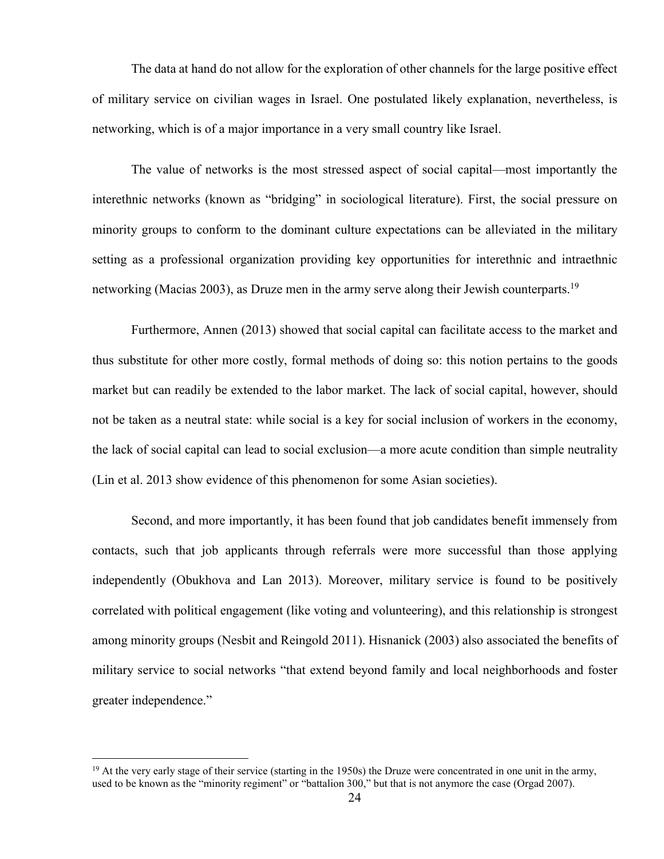The data at hand do not allow for the exploration of other channels for the large positive effect of military service on civilian wages in Israel. One postulated likely explanation, nevertheless, is networking, which is of a major importance in a very small country like Israel.

The value of networks is the most stressed aspect of social capital—most importantly the interethnic networks (known as "bridging" in sociological literature). First, the social pressure on minority groups to conform to the dominant culture expectations can be alleviated in the military setting as a professional organization providing key opportunities for interethnic and intraethnic networking (Macias 2003), as Druze men in the army serve along their Jewish counterparts.<sup>19</sup>

Furthermore, Annen (2013) showed that social capital can facilitate access to the market and thus substitute for other more costly, formal methods of doing so: this notion pertains to the goods market but can readily be extended to the labor market. The lack of social capital, however, should not be taken as a neutral state: while social is a key for social inclusion of workers in the economy, the lack of social capital can lead to social exclusion—a more acute condition than simple neutrality (Lin et al. 2013 show evidence of this phenomenon for some Asian societies).

Second, and more importantly, it has been found that job candidates benefit immensely from contacts, such that job applicants through referrals were more successful than those applying independently (Obukhova and Lan 2013). Moreover, military service is found to be positively correlated with political engagement (like voting and volunteering), and this relationship is strongest among minority groups (Nesbit and Reingold 2011). Hisnanick (2003) also associated the benefits of military service to social networks "that extend beyond family and local neighborhoods and foster greater independence."

 $19$  At the very early stage of their service (starting in the 1950s) the Druze were concentrated in one unit in the army, used to be known as the "minority regiment" or "battalion 300," but that is not anymore the case (Orgad 2007).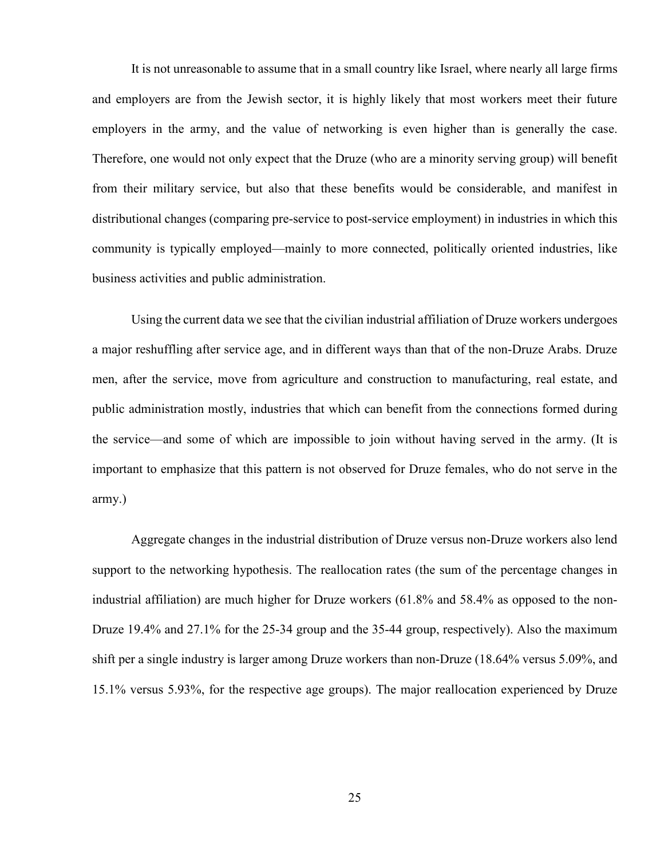It is not unreasonable to assume that in a small country like Israel, where nearly all large firms and employers are from the Jewish sector, it is highly likely that most workers meet their future employers in the army, and the value of networking is even higher than is generally the case. Therefore, one would not only expect that the Druze (who are a minority serving group) will benefit from their military service, but also that these benefits would be considerable, and manifest in distributional changes (comparing pre-service to post-service employment) in industries in which this community is typically employed—mainly to more connected, politically oriented industries, like business activities and public administration.

Using the current data we see that the civilian industrial affiliation of Druze workers undergoes a major reshuffling after service age, and in different ways than that of the non-Druze Arabs. Druze men, after the service, move from agriculture and construction to manufacturing, real estate, and public administration mostly, industries that which can benefit from the connections formed during the service—and some of which are impossible to join without having served in the army. (It is important to emphasize that this pattern is not observed for Druze females, who do not serve in the army.)

Aggregate changes in the industrial distribution of Druze versus non-Druze workers also lend support to the networking hypothesis. The reallocation rates (the sum of the percentage changes in industrial affiliation) are much higher for Druze workers (61.8% and 58.4% as opposed to the non-Druze 19.4% and 27.1% for the 25-34 group and the 35-44 group, respectively). Also the maximum shift per a single industry is larger among Druze workers than non-Druze (18.64% versus 5.09%, and 15.1% versus 5.93%, for the respective age groups). The major reallocation experienced by Druze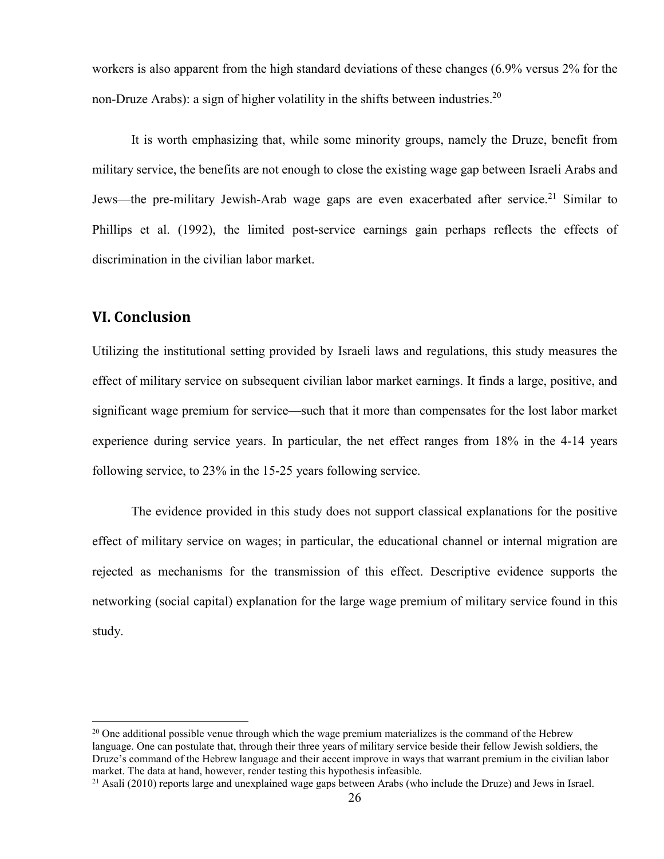workers is also apparent from the high standard deviations of these changes (6.9% versus 2% for the non-Druze Arabs): a sign of higher volatility in the shifts between industries.<sup>20</sup>

It is worth emphasizing that, while some minority groups, namely the Druze, benefit from military service, the benefits are not enough to close the existing wage gap between Israeli Arabs and Jews—the pre-military Jewish-Arab wage gaps are even exacerbated after service.<sup>21</sup> Similar to Phillips et al. (1992), the limited post-service earnings gain perhaps reflects the effects of discrimination in the civilian labor market.

#### **VI. Conclusion**

 $\overline{a}$ 

Utilizing the institutional setting provided by Israeli laws and regulations, this study measures the effect of military service on subsequent civilian labor market earnings. It finds a large, positive, and significant wage premium for service—such that it more than compensates for the lost labor market experience during service years. In particular, the net effect ranges from 18% in the 4-14 years following service, to 23% in the 15-25 years following service.

The evidence provided in this study does not support classical explanations for the positive effect of military service on wages; in particular, the educational channel or internal migration are rejected as mechanisms for the transmission of this effect. Descriptive evidence supports the networking (social capital) explanation for the large wage premium of military service found in this study.

<sup>&</sup>lt;sup>20</sup> One additional possible venue through which the wage premium materializes is the command of the Hebrew language. One can postulate that, through their three years of military service beside their fellow Jewish soldiers, the Druze's command of the Hebrew language and their accent improve in ways that warrant premium in the civilian labor market. The data at hand, however, render testing this hypothesis infeasible.

<sup>&</sup>lt;sup>21</sup> Asali (2010) reports large and unexplained wage gaps between Arabs (who include the Druze) and Jews in Israel.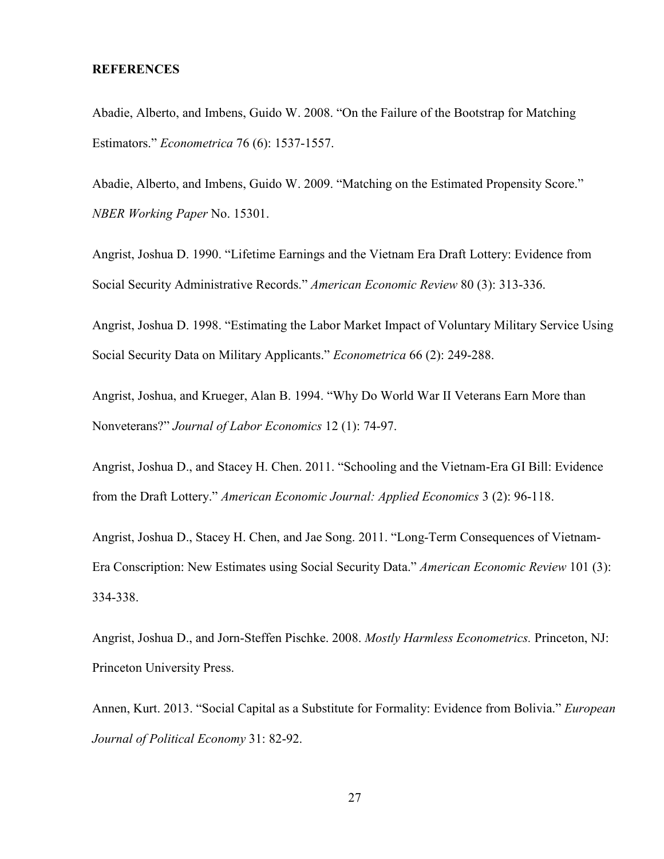#### **REFERENCES**

Abadie, Alberto, and Imbens, Guido W. 2008. "On the Failure of the Bootstrap for Matching Estimators." *Econometrica* 76 (6): 1537-1557.

Abadie, Alberto, and Imbens, Guido W. 2009. "Matching on the Estimated Propensity Score." *NBER Working Paper* No. 15301.

Angrist, Joshua D. 1990. "Lifetime Earnings and the Vietnam Era Draft Lottery: Evidence from Social Security Administrative Records." *American Economic Review* 80 (3): 313-336.

Angrist, Joshua D. 1998. "Estimating the Labor Market Impact of Voluntary Military Service Using Social Security Data on Military Applicants." *Econometrica* 66 (2): 249-288.

Angrist, Joshua, and Krueger, Alan B. 1994. "Why Do World War II Veterans Earn More than Nonveterans?" *Journal of Labor Economics* 12 (1): 74-97.

Angrist, Joshua D., and Stacey H. Chen. 2011. "Schooling and the Vietnam-Era GI Bill: Evidence from the Draft Lottery." *American Economic Journal: Applied Economics* 3 (2): 96-118.

Angrist, Joshua D., Stacey H. Chen, and Jae Song. 2011. "Long-Term Consequences of Vietnam-Era Conscription: New Estimates using Social Security Data." *American Economic Review* 101 (3): 334-338.

Angrist, Joshua D., and Jorn-Steffen Pischke. 2008. *Mostly Harmless Econometrics.* Princeton, NJ: Princeton University Press.

Annen, Kurt. 2013. "Social Capital as a Substitute for Formality: Evidence from Bolivia." *European Journal of Political Economy* 31: 82-92.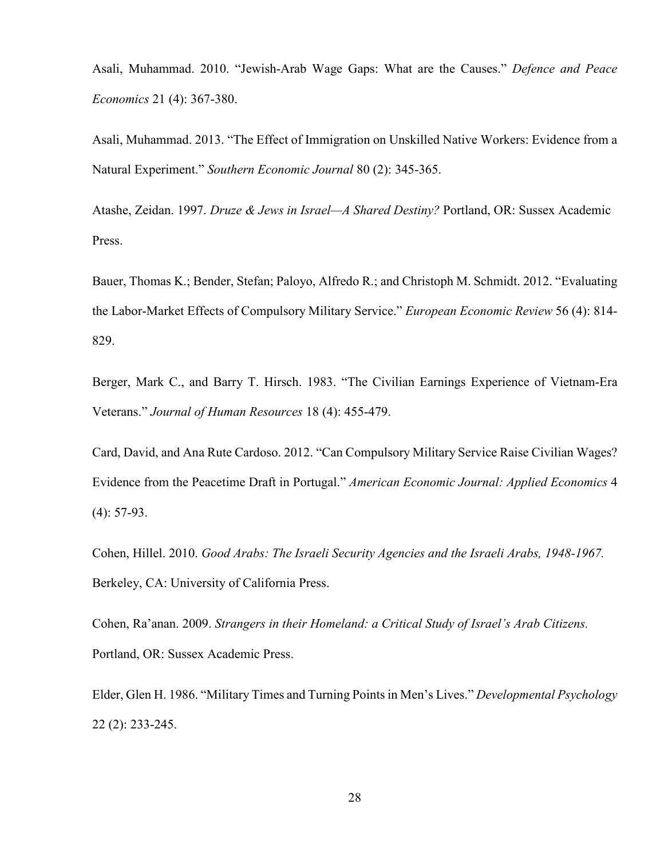Asali, Muhammad. 2010. "Jewish-Arab Wage Gaps: What are the Causes." *Defence and Peace Economics* 21 (4): 367-380.

Asali, Muhammad. 2013. "The Effect of Immigration on Unskilled Native Workers: Evidence from a Natural Experiment." *Southern Economic Journal* 80 (2): 345-365.

Atashe, Zeidan. 1997. *Druze & Jews in Israel—A Shared Destiny?* Portland, OR: Sussex Academic Press.

Bauer, Thomas K.; Bender, Stefan; Paloyo, Alfredo R.; and Christoph M. Schmidt. 2012. "Evaluating the Labor-Market Effects of Compulsory Military Service." *European Economic Review* 56 (4): 814- 829.

Berger, Mark C., and Barry T. Hirsch. 1983. "The Civilian Earnings Experience of Vietnam-Era Veterans." *Journal of Human Resources* 18 (4): 455-479.

Card, David, and Ana Rute Cardoso. 2012. "Can Compulsory Military Service Raise Civilian Wages? Evidence from the Peacetime Draft in Portugal." *American Economic Journal: Applied Economics* 4 (4): 57-93.

Cohen, Hillel. 2010. *Good Arabs: The Israeli Security Agencies and the Israeli Arabs, 1948-1967.* Berkeley, CA: University of California Press.

Cohen, Ra'anan. 2009. *Strangers in their Homeland: a Critical Study of Israel's Arab Citizens.* Portland, OR: Sussex Academic Press.

Elder, Glen H. 1986. "Military Times and Turning Points in Men's Lives." *Developmental Psychology*  22 (2): 233-245.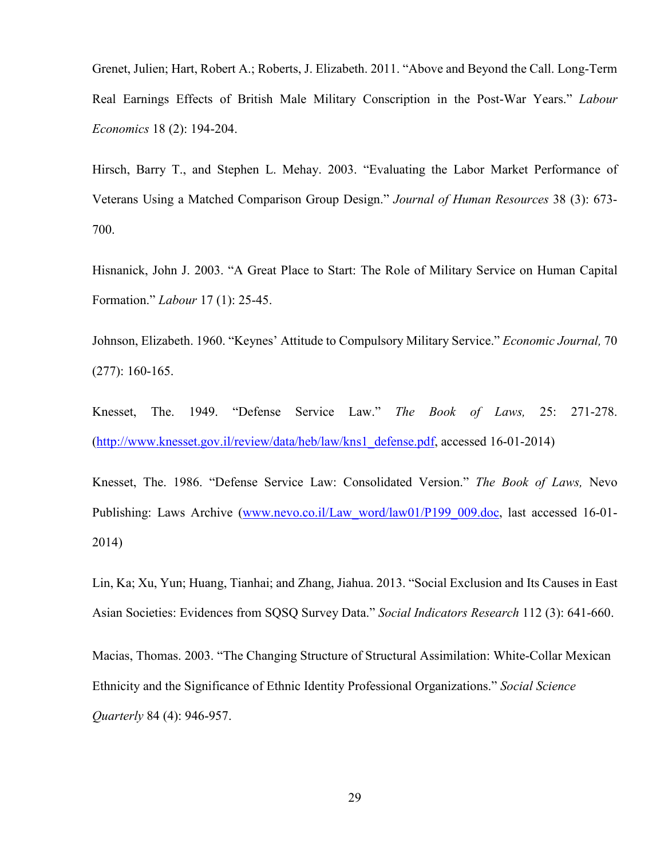Grenet, Julien; Hart, Robert A.; Roberts, J. Elizabeth. 2011. "Above and Beyond the Call. Long-Term Real Earnings Effects of British Male Military Conscription in the Post-War Years." *Labour Economics* 18 (2): 194-204.

Hirsch, Barry T., and Stephen L. Mehay. 2003. "Evaluating the Labor Market Performance of Veterans Using a Matched Comparison Group Design." *Journal of Human Resources* 38 (3): 673- 700.

Hisnanick, John J. 2003. "A Great Place to Start: The Role of Military Service on Human Capital Formation." *Labour* 17 (1): 25-45.

Johnson, Elizabeth. 1960. "Keynes' Attitude to Compulsory Military Service." *Economic Journal,* 70 (277): 160-165.

Knesset, The. 1949. "Defense Service Law." *The Book of Laws,* 25: 271-278. (http://www.knesset.gov.il/review/data/heb/law/kns1\_defense.pdf, accessed 16-01-2014)

Knesset, The. 1986. "Defense Service Law: Consolidated Version." *The Book of Laws,* Nevo Publishing: Laws Archive (www.nevo.co.il/Law\_word/law01/P199\_009.doc, last accessed 16-01-2014)

Lin, Ka; Xu, Yun; Huang, Tianhai; and Zhang, Jiahua. 2013. "Social Exclusion and Its Causes in East Asian Societies: Evidences from SQSQ Survey Data." *Social Indicators Research* 112 (3): 641-660.

Macias, Thomas. 2003. "The Changing Structure of Structural Assimilation: White-Collar Mexican Ethnicity and the Significance of Ethnic Identity Professional Organizations." *Social Science Quarterly* 84 (4): 946-957.